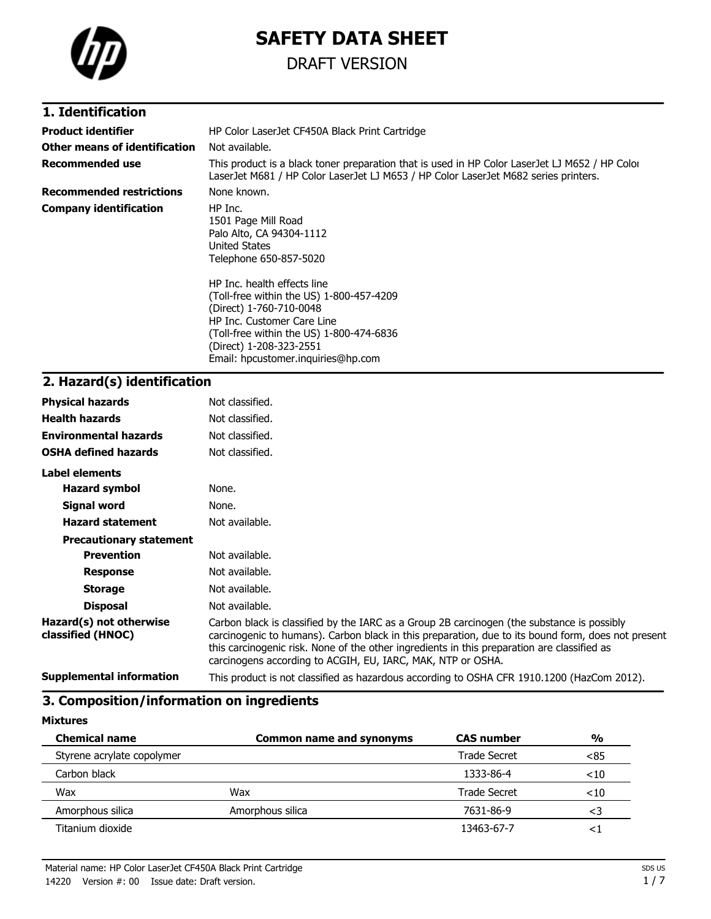

# **SAFETY DATA SHEET**

## DRAFT VERSION

### **1. Identification**

| <b>Product identifier</b>       | HP Color LaserJet CF450A Black Print Cartridge                                                                                                                                                                                                |
|---------------------------------|-----------------------------------------------------------------------------------------------------------------------------------------------------------------------------------------------------------------------------------------------|
| Other means of identification   | Not available.                                                                                                                                                                                                                                |
| Recommended use                 | This product is a black toner preparation that is used in HP Color LaserJet LJ M652 / HP Color<br>LaserJet M681 / HP Color LaserJet LJ M653 / HP Color LaserJet M682 series printers.                                                         |
| <b>Recommended restrictions</b> | None known.                                                                                                                                                                                                                                   |
| <b>Company identification</b>   | HP Inc.<br>1501 Page Mill Road<br>Palo Alto, CA 94304-1112<br>United States<br>Telephone 650-857-5020                                                                                                                                         |
|                                 | HP Inc. health effects line<br>(Toll-free within the US) 1-800-457-4209<br>(Direct) 1-760-710-0048<br>HP Inc. Customer Care Line<br>(Toll-free within the US) 1-800-474-6836<br>(Direct) 1-208-323-2551<br>Email: hpcustomer.inguiries@hp.com |

## **2. Hazard(s) identification**

| <b>Physical hazards</b>                      | Not classified.                                                                                                                                                                                                                                                                                                                                                |
|----------------------------------------------|----------------------------------------------------------------------------------------------------------------------------------------------------------------------------------------------------------------------------------------------------------------------------------------------------------------------------------------------------------------|
| <b>Health hazards</b>                        | Not classified.                                                                                                                                                                                                                                                                                                                                                |
| <b>Environmental hazards</b>                 | Not classified.                                                                                                                                                                                                                                                                                                                                                |
| <b>OSHA defined hazards</b>                  | Not classified.                                                                                                                                                                                                                                                                                                                                                |
| Label elements                               |                                                                                                                                                                                                                                                                                                                                                                |
| <b>Hazard symbol</b>                         | None.                                                                                                                                                                                                                                                                                                                                                          |
| Signal word                                  | None.                                                                                                                                                                                                                                                                                                                                                          |
| <b>Hazard statement</b>                      | Not available.                                                                                                                                                                                                                                                                                                                                                 |
| <b>Precautionary statement</b>               |                                                                                                                                                                                                                                                                                                                                                                |
| <b>Prevention</b>                            | Not available.                                                                                                                                                                                                                                                                                                                                                 |
| <b>Response</b>                              | Not available.                                                                                                                                                                                                                                                                                                                                                 |
| <b>Storage</b>                               | Not available.                                                                                                                                                                                                                                                                                                                                                 |
| <b>Disposal</b>                              | Not available.                                                                                                                                                                                                                                                                                                                                                 |
| Hazard(s) not otherwise<br>classified (HNOC) | Carbon black is classified by the IARC as a Group 2B carcinogen (the substance is possibly<br>carcinogenic to humans). Carbon black in this preparation, due to its bound form, does not present<br>this carcinogenic risk. None of the other ingredients in this preparation are classified as<br>carcinogens according to ACGIH, EU, IARC, MAK, NTP or OSHA. |
| <b>Supplemental information</b>              | This product is not classified as hazardous according to OSHA CFR 1910.1200 (HazCom 2012).                                                                                                                                                                                                                                                                     |

### **3. Composition/information on ingredients**

**Mixtures**

| <b>Chemical name</b>       | <b>Common name and synonyms</b> |              | $\frac{0}{0}$ |
|----------------------------|---------------------------------|--------------|---------------|
| Styrene acrylate copolymer |                                 | Trade Secret | < 85          |
| Carbon black               |                                 | 1333-86-4    | $<$ 10        |
| Wax                        | Wax                             | Trade Secret | $<$ 10        |
| Amorphous silica           | Amorphous silica                | 7631-86-9    | <3            |
| Titanium dioxide           |                                 | 13463-67-7   | $\leq$        |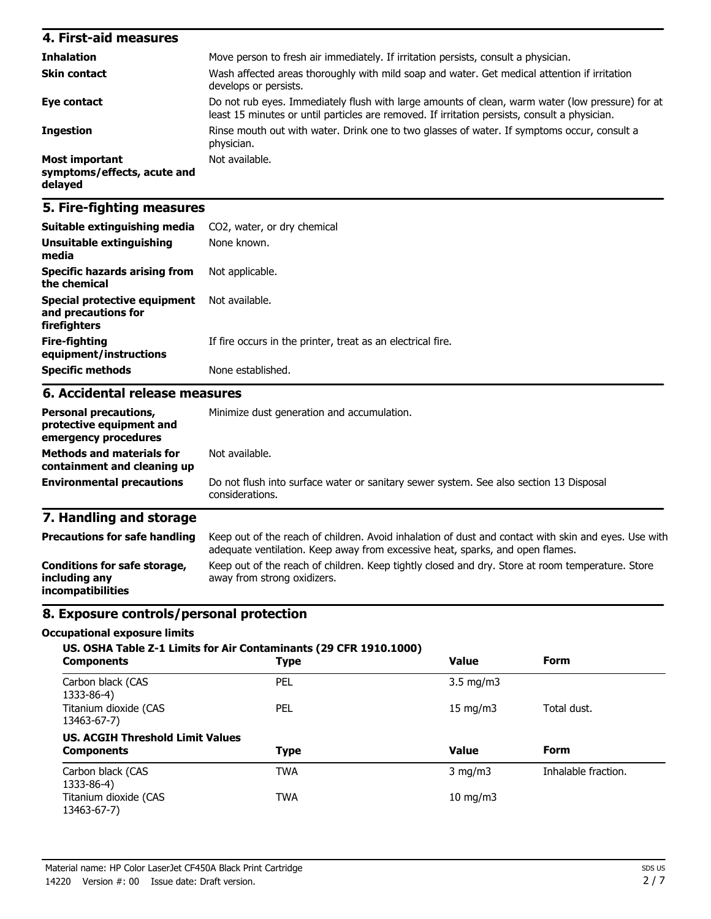| 4. First-aid measures                                    |                                                                                                                                                                                                   |
|----------------------------------------------------------|---------------------------------------------------------------------------------------------------------------------------------------------------------------------------------------------------|
| <b>Inhalation</b>                                        | Move person to fresh air immediately. If irritation persists, consult a physician.                                                                                                                |
| <b>Skin contact</b>                                      | Wash affected areas thoroughly with mild soap and water. Get medical attention if irritation<br>develops or persists.                                                                             |
| Eye contact                                              | Do not rub eyes. Immediately flush with large amounts of clean, warm water (low pressure) for at<br>least 15 minutes or until particles are removed. If irritation persists, consult a physician. |
| <b>Ingestion</b>                                         | Rinse mouth out with water. Drink one to two glasses of water. If symptoms occur, consult a<br>physician.                                                                                         |
| Most important<br>symptoms/effects, acute and<br>delayed | Not available.                                                                                                                                                                                    |

### **5. Fire-fighting measures**

| Suitable extinguishing media                                                     | CO2, water, or dry chemical                                                                                                                                                           |  |  |
|----------------------------------------------------------------------------------|---------------------------------------------------------------------------------------------------------------------------------------------------------------------------------------|--|--|
| Unsuitable extinguishing<br>media                                                | None known.<br>Not applicable.<br>Not available.                                                                                                                                      |  |  |
| <b>Specific hazards arising from</b><br>the chemical                             |                                                                                                                                                                                       |  |  |
| <b>Special protective equipment</b><br>and precautions for<br>firefighters       |                                                                                                                                                                                       |  |  |
| <b>Fire-fighting</b><br>equipment/instructions                                   | If fire occurs in the printer, treat as an electrical fire.                                                                                                                           |  |  |
| <b>Specific methods</b>                                                          | None established.                                                                                                                                                                     |  |  |
| 6. Accidental release measures                                                   |                                                                                                                                                                                       |  |  |
| <b>Personal precautions,</b><br>protective equipment and<br>emergency procedures | Minimize dust generation and accumulation.                                                                                                                                            |  |  |
| <b>Methods and materials for</b><br>containment and cleaning up                  | Not available.                                                                                                                                                                        |  |  |
| <b>Environmental precautions</b>                                                 | Do not flush into surface water or sanitary sewer system. See also section 13 Disposal<br>considerations.                                                                             |  |  |
| 7. Handling and storage                                                          |                                                                                                                                                                                       |  |  |
| <b>Precautions for safe handling</b>                                             | Keep out of the reach of children. Avoid inhalation of dust and contact with skin and eyes. Use with<br>adequate ventilation. Keep away from excessive heat, sparks, and open flames. |  |  |
| Conditions for safe storage,<br>including any                                    | Keep out of the reach of children. Keep tightly closed and dry. Store at room temperature. Store<br>away from strong oxidizers.                                                       |  |  |

### **8. Exposure controls/personal protection**

#### **Occupational exposure limits**

**incompatibilities**

| US. OSHA Table Z-1 Limits for Air Contaminants (29 CFR 1910.1000)<br><b>Form</b><br><b>Value</b><br><b>Type</b><br><b>Components</b> |             |                    |                     |  |
|--------------------------------------------------------------------------------------------------------------------------------------|-------------|--------------------|---------------------|--|
| Carbon black (CAS<br>1333-86-4)                                                                                                      | <b>PEL</b>  | $3.5 \text{ mg/m}$ |                     |  |
| Titanium dioxide (CAS<br>13463-67-7)                                                                                                 | <b>PEL</b>  | $15 \text{ mg/m}$  | Total dust.         |  |
| <b>US. ACGIH Threshold Limit Values</b>                                                                                              |             |                    |                     |  |
| <b>Components</b>                                                                                                                    | <b>Type</b> | <b>Value</b>       | <b>Form</b>         |  |
| Carbon black (CAS<br>1333-86-4)                                                                                                      | <b>TWA</b>  | $3 \text{ mg/m}$   | Inhalable fraction. |  |
| Titanium dioxide (CAS<br>13463-67-7)                                                                                                 | <b>TWA</b>  | $10$ mg/m $3$      |                     |  |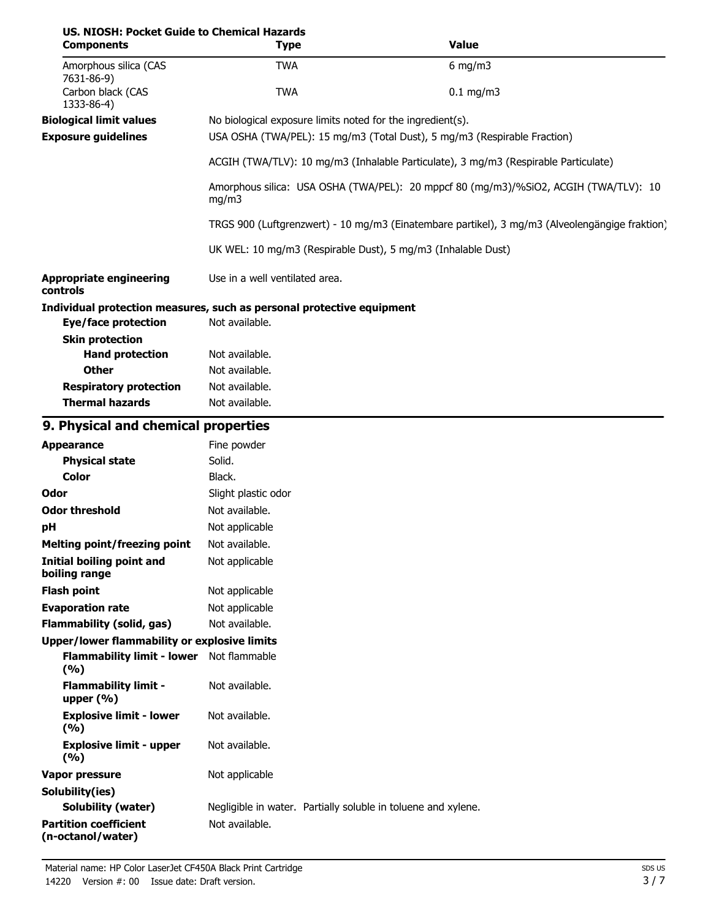| US. NIOSH: Pocket Guide to Chemical Hazards<br><b>Components</b>      | <b>Type</b>                                                                                    |                                                                                                                                        | <b>Value</b> |  |
|-----------------------------------------------------------------------|------------------------------------------------------------------------------------------------|----------------------------------------------------------------------------------------------------------------------------------------|--------------|--|
| Amorphous silica (CAS                                                 | <b>TWA</b>                                                                                     |                                                                                                                                        | $6$ mg/m3    |  |
| 7631-86-9)<br>Carbon black (CAS<br>1333-86-4)                         | <b>TWA</b>                                                                                     |                                                                                                                                        | $0.1$ mg/m3  |  |
| <b>Biological limit values</b><br><b>Exposure guidelines</b>          |                                                                                                | No biological exposure limits noted for the ingredient(s).<br>USA OSHA (TWA/PEL): 15 mg/m3 (Total Dust), 5 mg/m3 (Respirable Fraction) |              |  |
|                                                                       | ACGIH (TWA/TLV): 10 mg/m3 (Inhalable Particulate), 3 mg/m3 (Respirable Particulate)            |                                                                                                                                        |              |  |
|                                                                       | Amorphous silica: USA OSHA (TWA/PEL): 20 mppcf 80 (mg/m3)/%SiO2, ACGIH (TWA/TLV): 10<br>mg/m3  |                                                                                                                                        |              |  |
|                                                                       | TRGS 900 (Luftgrenzwert) - 10 mg/m3 (Einatembare partikel), 3 mg/m3 (Alveolengängige fraktion) |                                                                                                                                        |              |  |
|                                                                       |                                                                                                | UK WEL: 10 mg/m3 (Respirable Dust), 5 mg/m3 (Inhalable Dust)                                                                           |              |  |
| <b>Appropriate engineering</b><br>controls                            | Use in a well ventilated area.                                                                 |                                                                                                                                        |              |  |
| Individual protection measures, such as personal protective equipment |                                                                                                |                                                                                                                                        |              |  |
| <b>Eye/face protection</b>                                            | Not available.                                                                                 |                                                                                                                                        |              |  |
| <b>Skin protection</b>                                                |                                                                                                |                                                                                                                                        |              |  |
| <b>Hand protection</b>                                                | Not available.                                                                                 |                                                                                                                                        |              |  |
| <b>Other</b>                                                          | Not available.                                                                                 |                                                                                                                                        |              |  |
| <b>Respiratory protection</b><br><b>Thermal hazards</b>               | Not available.<br>Not available.                                                               |                                                                                                                                        |              |  |
| 9. Physical and chemical properties                                   |                                                                                                |                                                                                                                                        |              |  |
| <b>Appearance</b>                                                     | Fine powder                                                                                    |                                                                                                                                        |              |  |
| <b>Physical state</b>                                                 | Solid.                                                                                         |                                                                                                                                        |              |  |
| <b>Color</b>                                                          | Black.                                                                                         |                                                                                                                                        |              |  |
| Odor                                                                  | Slight plastic odor                                                                            |                                                                                                                                        |              |  |
| <b>Odor threshold</b>                                                 | Not available.                                                                                 |                                                                                                                                        |              |  |
| pH                                                                    | Not applicable                                                                                 |                                                                                                                                        |              |  |
| <b>Melting point/freezing point</b>                                   | Not available.                                                                                 |                                                                                                                                        |              |  |
| <b>Initial boiling point and</b><br>boiling range                     | Not applicable                                                                                 |                                                                                                                                        |              |  |
| <b>Flash point</b>                                                    | Not applicable                                                                                 |                                                                                                                                        |              |  |
| <b>Evaporation rate</b>                                               | Not applicable                                                                                 |                                                                                                                                        |              |  |
| <b>Flammability (solid, gas)</b>                                      | Not available.                                                                                 |                                                                                                                                        |              |  |
| <b>Upper/lower flammability or explosive limits</b>                   |                                                                                                |                                                                                                                                        |              |  |
| Flammability limit - lower Not flammable<br>(%)                       |                                                                                                |                                                                                                                                        |              |  |
| <b>Flammability limit -</b><br>upper $(% )$                           | Not available.                                                                                 |                                                                                                                                        |              |  |
| <b>Explosive limit - lower</b><br>(9/6)                               | Not available.                                                                                 |                                                                                                                                        |              |  |
| <b>Explosive limit - upper</b><br>(%)                                 | Not available.                                                                                 |                                                                                                                                        |              |  |
| <b>Vapor pressure</b>                                                 | Not applicable                                                                                 |                                                                                                                                        |              |  |
| Solubility(ies)                                                       |                                                                                                |                                                                                                                                        |              |  |
| <b>Solubility (water)</b>                                             |                                                                                                | Negligible in water. Partially soluble in toluene and xylene.                                                                          |              |  |
| <b>Partition coefficient</b><br>(n-octanol/water)                     | Not available.                                                                                 |                                                                                                                                        |              |  |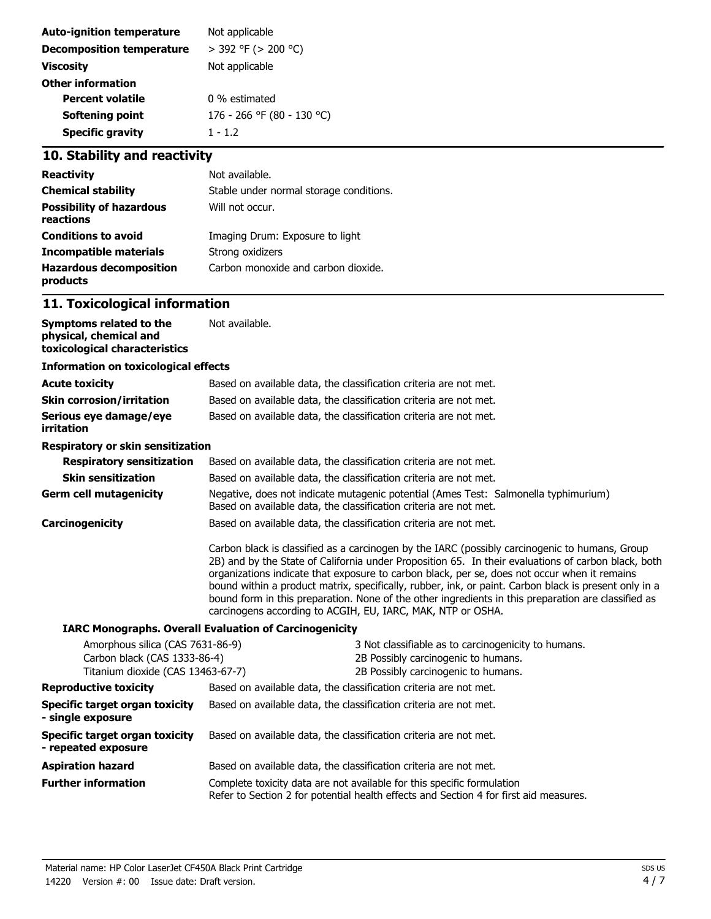| Not applicable             |
|----------------------------|
| $>$ 392 °F ( $>$ 200 °C)   |
| Not applicable             |
|                            |
| 0 % estimated              |
| 176 - 266 °F (80 - 130 °C) |
| $1 - 1.2$                  |
|                            |

## **10. Stability and reactivity**

| <b>Reactivity</b>                            | Not available.                          |
|----------------------------------------------|-----------------------------------------|
| <b>Chemical stability</b>                    | Stable under normal storage conditions. |
| <b>Possibility of hazardous</b><br>reactions | Will not occur.                         |
| <b>Conditions to avoid</b>                   | Imaging Drum: Exposure to light         |
| Incompatible materials                       | Strong oxidizers                        |
| <b>Hazardous decomposition</b><br>products   | Carbon monoxide and carbon dioxide.     |

## **11. Toxicological information**

| Symptoms related to the<br>physical, chemical and<br>toxicological characteristics                    | Not available.                                                                                                                                                                                                                                                                                                                                                                                                                                                                                                                                                                       |  |  |
|-------------------------------------------------------------------------------------------------------|--------------------------------------------------------------------------------------------------------------------------------------------------------------------------------------------------------------------------------------------------------------------------------------------------------------------------------------------------------------------------------------------------------------------------------------------------------------------------------------------------------------------------------------------------------------------------------------|--|--|
| <b>Information on toxicological effects</b>                                                           |                                                                                                                                                                                                                                                                                                                                                                                                                                                                                                                                                                                      |  |  |
| <b>Acute toxicity</b>                                                                                 | Based on available data, the classification criteria are not met.                                                                                                                                                                                                                                                                                                                                                                                                                                                                                                                    |  |  |
| Skin corrosion/irritation                                                                             | Based on available data, the classification criteria are not met.                                                                                                                                                                                                                                                                                                                                                                                                                                                                                                                    |  |  |
| Serious eye damage/eye<br>irritation                                                                  | Based on available data, the classification criteria are not met.                                                                                                                                                                                                                                                                                                                                                                                                                                                                                                                    |  |  |
| Respiratory or skin sensitization                                                                     |                                                                                                                                                                                                                                                                                                                                                                                                                                                                                                                                                                                      |  |  |
| <b>Respiratory sensitization</b>                                                                      | Based on available data, the classification criteria are not met.                                                                                                                                                                                                                                                                                                                                                                                                                                                                                                                    |  |  |
| <b>Skin sensitization</b>                                                                             | Based on available data, the classification criteria are not met.                                                                                                                                                                                                                                                                                                                                                                                                                                                                                                                    |  |  |
| Germ cell mutagenicity                                                                                | Negative, does not indicate mutagenic potential (Ames Test: Salmonella typhimurium)<br>Based on available data, the classification criteria are not met.                                                                                                                                                                                                                                                                                                                                                                                                                             |  |  |
| <b>Carcinogenicity</b>                                                                                | Based on available data, the classification criteria are not met.                                                                                                                                                                                                                                                                                                                                                                                                                                                                                                                    |  |  |
|                                                                                                       | Carbon black is classified as a carcinogen by the IARC (possibly carcinogenic to humans, Group<br>2B) and by the State of California under Proposition 65. In their evaluations of carbon black, both<br>organizations indicate that exposure to carbon black, per se, does not occur when it remains<br>bound within a product matrix, specifically, rubber, ink, or paint. Carbon black is present only in a<br>bound form in this preparation. None of the other ingredients in this preparation are classified as<br>carcinogens according to ACGIH, EU, IARC, MAK, NTP or OSHA. |  |  |
|                                                                                                       | <b>IARC Monographs. Overall Evaluation of Carcinogenicity</b>                                                                                                                                                                                                                                                                                                                                                                                                                                                                                                                        |  |  |
| Amorphous silica (CAS 7631-86-9)<br>Carbon black (CAS 1333-86-4)<br>Titanium dioxide (CAS 13463-67-7) | 3 Not classifiable as to carcinogenicity to humans.<br>2B Possibly carcinogenic to humans.<br>2B Possibly carcinogenic to humans.                                                                                                                                                                                                                                                                                                                                                                                                                                                    |  |  |
| <b>Reproductive toxicity</b>                                                                          | Based on available data, the classification criteria are not met.                                                                                                                                                                                                                                                                                                                                                                                                                                                                                                                    |  |  |
| Specific target organ toxicity<br>- single exposure                                                   | Based on available data, the classification criteria are not met.                                                                                                                                                                                                                                                                                                                                                                                                                                                                                                                    |  |  |
| Specific target organ toxicity<br>- repeated exposure                                                 | Based on available data, the classification criteria are not met.                                                                                                                                                                                                                                                                                                                                                                                                                                                                                                                    |  |  |
| Aspiration hazard                                                                                     | Based on available data, the classification criteria are not met.                                                                                                                                                                                                                                                                                                                                                                                                                                                                                                                    |  |  |
| <b>Further information</b>                                                                            | Complete toxicity data are not available for this specific formulation<br>Refer to Section 2 for potential health effects and Section 4 for first aid measures.                                                                                                                                                                                                                                                                                                                                                                                                                      |  |  |
|                                                                                                       |                                                                                                                                                                                                                                                                                                                                                                                                                                                                                                                                                                                      |  |  |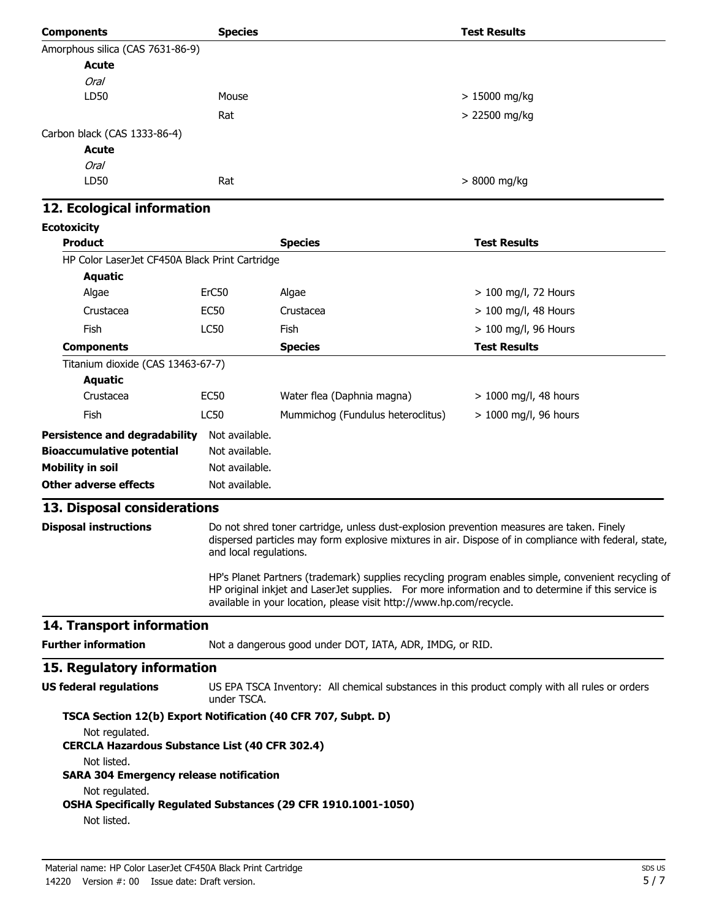| <b>Components</b>                                                       | <b>Species</b>         |                                                                                           | <b>Test Results</b>                                                                                                                                                                                       |
|-------------------------------------------------------------------------|------------------------|-------------------------------------------------------------------------------------------|-----------------------------------------------------------------------------------------------------------------------------------------------------------------------------------------------------------|
| Amorphous silica (CAS 7631-86-9)                                        |                        |                                                                                           |                                                                                                                                                                                                           |
| <b>Acute</b>                                                            |                        |                                                                                           |                                                                                                                                                                                                           |
| <b>Oral</b>                                                             |                        |                                                                                           |                                                                                                                                                                                                           |
| LD50                                                                    | Mouse                  |                                                                                           | > 15000 mg/kg                                                                                                                                                                                             |
|                                                                         | Rat                    |                                                                                           | > 22500 mg/kg                                                                                                                                                                                             |
| Carbon black (CAS 1333-86-4)                                            |                        |                                                                                           |                                                                                                                                                                                                           |
| <b>Acute</b>                                                            |                        |                                                                                           |                                                                                                                                                                                                           |
| <b>Oral</b>                                                             |                        |                                                                                           |                                                                                                                                                                                                           |
| LD50                                                                    | Rat                    |                                                                                           | $>8000$ mg/kg                                                                                                                                                                                             |
| 12. Ecological information                                              |                        |                                                                                           |                                                                                                                                                                                                           |
| <b>Ecotoxicity</b>                                                      |                        |                                                                                           |                                                                                                                                                                                                           |
| <b>Product</b>                                                          |                        | <b>Species</b>                                                                            | <b>Test Results</b>                                                                                                                                                                                       |
| HP Color LaserJet CF450A Black Print Cartridge                          |                        |                                                                                           |                                                                                                                                                                                                           |
| <b>Aquatic</b>                                                          |                        |                                                                                           |                                                                                                                                                                                                           |
| Algae                                                                   | ErC50                  | Algae                                                                                     | > 100 mg/l, 72 Hours                                                                                                                                                                                      |
| Crustacea                                                               | <b>EC50</b>            | Crustacea                                                                                 | > 100 mg/l, 48 Hours                                                                                                                                                                                      |
| Fish                                                                    | <b>LC50</b>            | Fish                                                                                      | > 100 mg/l, 96 Hours                                                                                                                                                                                      |
| <b>Components</b>                                                       |                        | <b>Species</b>                                                                            | <b>Test Results</b>                                                                                                                                                                                       |
| Titanium dioxide (CAS 13463-67-7)<br><b>Aquatic</b>                     |                        |                                                                                           |                                                                                                                                                                                                           |
| Crustacea                                                               | <b>EC50</b>            | Water flea (Daphnia magna)                                                                | > 1000 mg/l, 48 hours                                                                                                                                                                                     |
| <b>Fish</b>                                                             | <b>LC50</b>            | Mummichog (Fundulus heteroclitus)                                                         | $> 1000$ mg/l, 96 hours                                                                                                                                                                                   |
| <b>Persistence and degradability</b>                                    | Not available.         |                                                                                           |                                                                                                                                                                                                           |
| <b>Bioaccumulative potential</b>                                        | Not available.         |                                                                                           |                                                                                                                                                                                                           |
| <b>Mobility in soil</b>                                                 | Not available.         |                                                                                           |                                                                                                                                                                                                           |
| <b>Other adverse effects</b>                                            | Not available.         |                                                                                           |                                                                                                                                                                                                           |
| 13. Disposal considerations                                             |                        |                                                                                           |                                                                                                                                                                                                           |
| <b>Disposal instructions</b>                                            | and local regulations. | Do not shred toner cartridge, unless dust-explosion prevention measures are taken. Finely | dispersed particles may form explosive mixtures in air. Dispose of in compliance with federal, state,                                                                                                     |
|                                                                         |                        | available in your location, please visit http://www.hp.com/recycle.                       | HP's Planet Partners (trademark) supplies recycling program enables simple, convenient recycling of<br>HP original inkjet and LaserJet supplies. For more information and to determine if this service is |
| 14. Transport information                                               |                        |                                                                                           |                                                                                                                                                                                                           |
| <b>Further information</b>                                              |                        | Not a dangerous good under DOT, IATA, ADR, IMDG, or RID.                                  |                                                                                                                                                                                                           |
| 15. Regulatory information                                              |                        |                                                                                           |                                                                                                                                                                                                           |
| <b>US federal regulations</b>                                           | under TSCA.            |                                                                                           | US EPA TSCA Inventory: All chemical substances in this product comply with all rules or orders                                                                                                            |
| TSCA Section 12(b) Export Notification (40 CFR 707, Subpt. D)           |                        |                                                                                           |                                                                                                                                                                                                           |
| Not regulated.<br><b>CERCLA Hazardous Substance List (40 CFR 302.4)</b> |                        |                                                                                           |                                                                                                                                                                                                           |
| Not listed.<br><b>SARA 304 Emergency release notification</b>           |                        |                                                                                           |                                                                                                                                                                                                           |
| Not regulated.<br>Not listed.                                           |                        | OSHA Specifically Regulated Substances (29 CFR 1910.1001-1050)                            |                                                                                                                                                                                                           |
|                                                                         |                        |                                                                                           |                                                                                                                                                                                                           |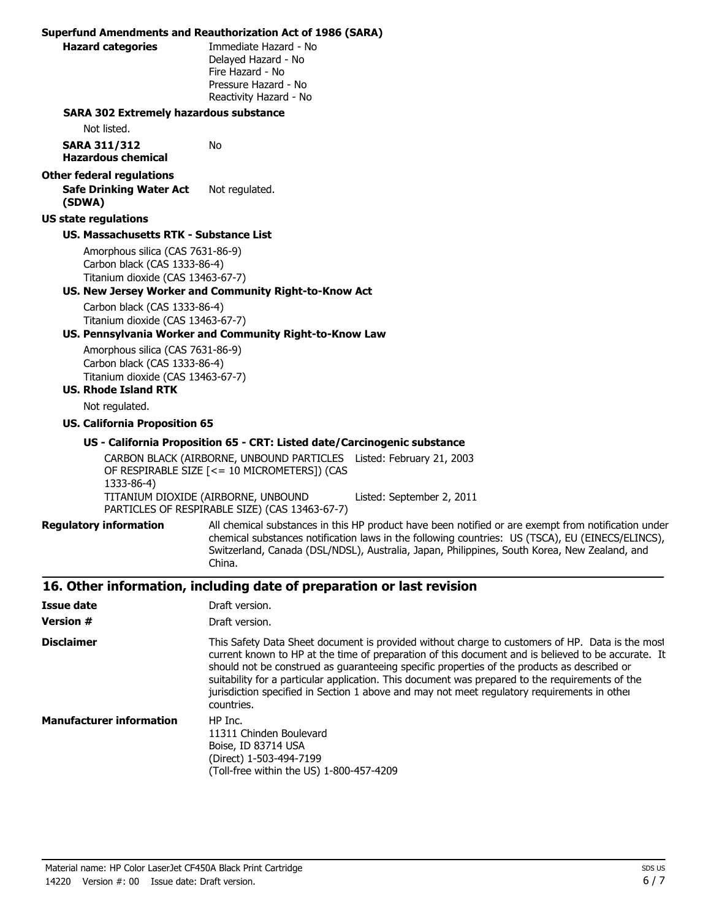|                                                                                                                                      | <b>Superfund Amendments and Reauthorization Act of 1986 (SARA)</b>                                                                                                                                                                                                                                                                                                                                                                                                                                                   |  |  |
|--------------------------------------------------------------------------------------------------------------------------------------|----------------------------------------------------------------------------------------------------------------------------------------------------------------------------------------------------------------------------------------------------------------------------------------------------------------------------------------------------------------------------------------------------------------------------------------------------------------------------------------------------------------------|--|--|
| <b>Hazard categories</b>                                                                                                             | Immediate Hazard - No<br>Delayed Hazard - No<br>Fire Hazard - No<br>Pressure Hazard - No<br>Reactivity Hazard - No                                                                                                                                                                                                                                                                                                                                                                                                   |  |  |
| <b>SARA 302 Extremely hazardous substance</b>                                                                                        |                                                                                                                                                                                                                                                                                                                                                                                                                                                                                                                      |  |  |
| Not listed.                                                                                                                          |                                                                                                                                                                                                                                                                                                                                                                                                                                                                                                                      |  |  |
| <b>SARA 311/312</b><br><b>Hazardous chemical</b>                                                                                     | No                                                                                                                                                                                                                                                                                                                                                                                                                                                                                                                   |  |  |
| <b>Other federal regulations</b><br><b>Safe Drinking Water Act</b><br>(SDWA)                                                         | Not regulated.                                                                                                                                                                                                                                                                                                                                                                                                                                                                                                       |  |  |
| <b>US state regulations</b>                                                                                                          |                                                                                                                                                                                                                                                                                                                                                                                                                                                                                                                      |  |  |
| <b>US. Massachusetts RTK - Substance List</b>                                                                                        |                                                                                                                                                                                                                                                                                                                                                                                                                                                                                                                      |  |  |
| Amorphous silica (CAS 7631-86-9)<br>Carbon black (CAS 1333-86-4)<br>Titanium dioxide (CAS 13463-67-7)                                | US. New Jersey Worker and Community Right-to-Know Act                                                                                                                                                                                                                                                                                                                                                                                                                                                                |  |  |
| Carbon black (CAS 1333-86-4)<br>Titanium dioxide (CAS 13463-67-7)                                                                    | US. Pennsylvania Worker and Community Right-to-Know Law                                                                                                                                                                                                                                                                                                                                                                                                                                                              |  |  |
| Amorphous silica (CAS 7631-86-9)<br>Carbon black (CAS 1333-86-4)<br>Titanium dioxide (CAS 13463-67-7)<br><b>US. Rhode Island RTK</b> |                                                                                                                                                                                                                                                                                                                                                                                                                                                                                                                      |  |  |
| Not regulated.                                                                                                                       |                                                                                                                                                                                                                                                                                                                                                                                                                                                                                                                      |  |  |
| <b>US. California Proposition 65</b>                                                                                                 |                                                                                                                                                                                                                                                                                                                                                                                                                                                                                                                      |  |  |
|                                                                                                                                      | US - California Proposition 65 - CRT: Listed date/Carcinogenic substance                                                                                                                                                                                                                                                                                                                                                                                                                                             |  |  |
| 1333-86-4)                                                                                                                           | CARBON BLACK (AIRBORNE, UNBOUND PARTICLES Listed: February 21, 2003<br>OF RESPIRABLE SIZE [<= 10 MICROMETERS]) (CAS<br>TITANIUM DIOXIDE (AIRBORNE, UNBOUND<br>Listed: September 2, 2011<br>PARTICLES OF RESPIRABLE SIZE) (CAS 13463-67-7)                                                                                                                                                                                                                                                                            |  |  |
| <b>Regulatory information</b>                                                                                                        | All chemical substances in this HP product have been notified or are exempt from notification under<br>chemical substances notification laws in the following countries: US (TSCA), EU (EINECS/ELINCS),<br>Switzerland, Canada (DSL/NDSL), Australia, Japan, Philippines, South Korea, New Zealand, and<br>China.                                                                                                                                                                                                    |  |  |
|                                                                                                                                      | 16. Other information, including date of preparation or last revision                                                                                                                                                                                                                                                                                                                                                                                                                                                |  |  |
| <b>Issue date</b>                                                                                                                    | Draft version.                                                                                                                                                                                                                                                                                                                                                                                                                                                                                                       |  |  |
| <b>Version #</b>                                                                                                                     | Draft version.                                                                                                                                                                                                                                                                                                                                                                                                                                                                                                       |  |  |
| <b>Disclaimer</b>                                                                                                                    | This Safety Data Sheet document is provided without charge to customers of HP. Data is the most<br>current known to HP at the time of preparation of this document and is believed to be accurate. It<br>should not be construed as guaranteeing specific properties of the products as described or<br>suitability for a particular application. This document was prepared to the requirements of the<br>jurisdiction specified in Section 1 above and may not meet regulatory requirements in other<br>countries. |  |  |
| <b>Manufacturer information</b>                                                                                                      | HP Inc.<br>11311 Chinden Boulevard<br>Boise, ID 83714 USA                                                                                                                                                                                                                                                                                                                                                                                                                                                            |  |  |

(Direct) 1-503-494-7199

(Toll-free within the US) 1-800-457-4209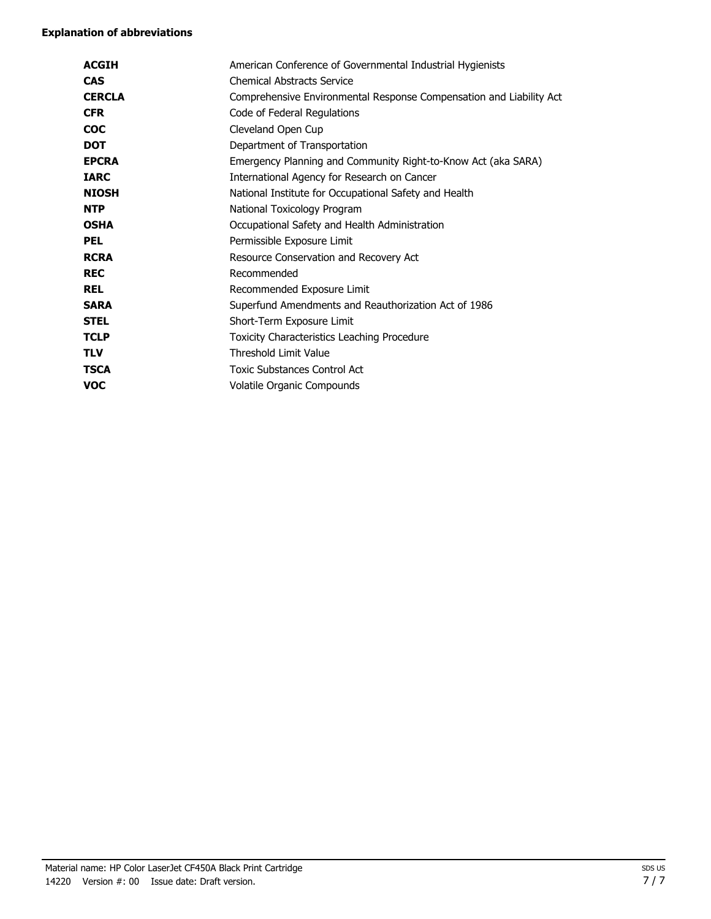#### **Explanation of abbreviations**

| <b>ACGIH</b>  | American Conference of Governmental Industrial Hygienists           |
|---------------|---------------------------------------------------------------------|
| <b>CAS</b>    | <b>Chemical Abstracts Service</b>                                   |
| <b>CERCLA</b> | Comprehensive Environmental Response Compensation and Liability Act |
| <b>CFR</b>    | Code of Federal Regulations                                         |
| <b>COC</b>    | Cleveland Open Cup                                                  |
| <b>DOT</b>    | Department of Transportation                                        |
| <b>EPCRA</b>  | Emergency Planning and Community Right-to-Know Act (aka SARA)       |
| <b>IARC</b>   | International Agency for Research on Cancer                         |
| <b>NIOSH</b>  | National Institute for Occupational Safety and Health               |
| <b>NTP</b>    | National Toxicology Program                                         |
| <b>OSHA</b>   | Occupational Safety and Health Administration                       |
| <b>PEL</b>    | Permissible Exposure Limit                                          |
| <b>RCRA</b>   | Resource Conservation and Recovery Act                              |
| <b>REC</b>    | Recommended                                                         |
| <b>REL</b>    | Recommended Exposure Limit                                          |
| <b>SARA</b>   | Superfund Amendments and Reauthorization Act of 1986                |
| <b>STEL</b>   | Short-Term Exposure Limit                                           |
| <b>TCLP</b>   | Toxicity Characteristics Leaching Procedure                         |
| <b>TLV</b>    | <b>Threshold Limit Value</b>                                        |
| <b>TSCA</b>   | <b>Toxic Substances Control Act</b>                                 |
| voc           | Volatile Organic Compounds                                          |
|               |                                                                     |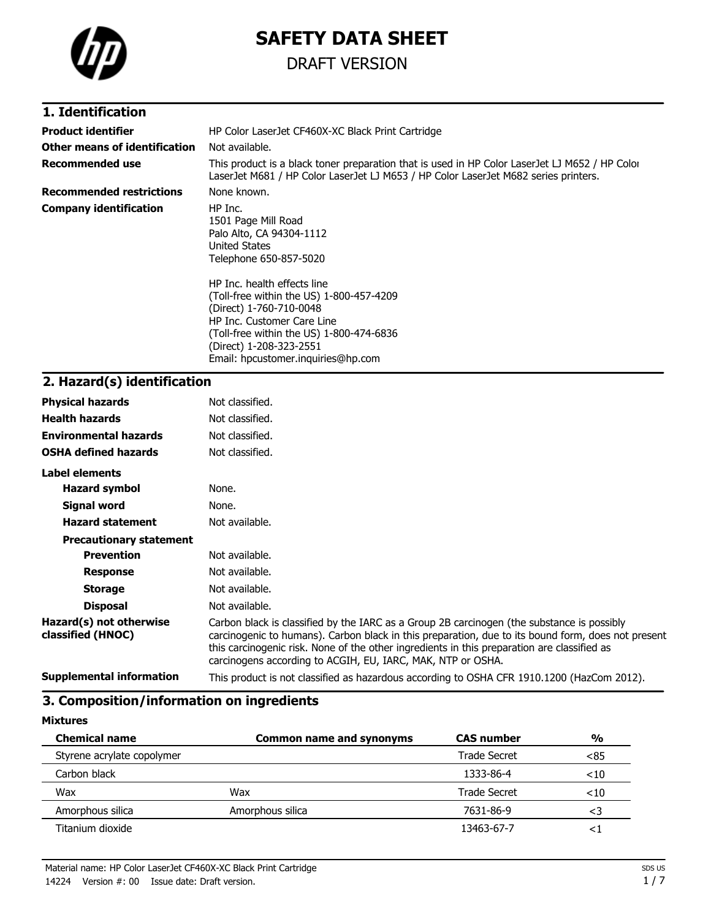

# **SAFETY DATA SHEET**

## DRAFT VERSION

### **1. Identification**

| <b>Product identifier</b>       | HP Color LaserJet CF460X-XC Black Print Cartridge                                                                                                                                                                                             |  |  |  |
|---------------------------------|-----------------------------------------------------------------------------------------------------------------------------------------------------------------------------------------------------------------------------------------------|--|--|--|
| Other means of identification   | Not available.                                                                                                                                                                                                                                |  |  |  |
| Recommended use                 | This product is a black toner preparation that is used in HP Color LaserJet LJ M652 / HP Color<br>LaserJet M681 / HP Color LaserJet LJ M653 / HP Color LaserJet M682 series printers.                                                         |  |  |  |
| <b>Recommended restrictions</b> | None known.                                                                                                                                                                                                                                   |  |  |  |
| <b>Company identification</b>   | HP Inc.<br>1501 Page Mill Road<br>Palo Alto, CA 94304-1112<br>United States<br>Telephone 650-857-5020                                                                                                                                         |  |  |  |
|                                 | HP Inc. health effects line<br>(Toll-free within the US) 1-800-457-4209<br>(Direct) 1-760-710-0048<br>HP Inc. Customer Care Line<br>(Toll-free within the US) 1-800-474-6836<br>(Direct) 1-208-323-2551<br>Email: hpcustomer.inguiries@hp.com |  |  |  |

## **2. Hazard(s) identification**

| <b>Physical hazards</b>                      | Not classified.                                                                                                                                                                                                                                                                                                                                                |
|----------------------------------------------|----------------------------------------------------------------------------------------------------------------------------------------------------------------------------------------------------------------------------------------------------------------------------------------------------------------------------------------------------------------|
| <b>Health hazards</b>                        | Not classified.                                                                                                                                                                                                                                                                                                                                                |
| <b>Environmental hazards</b>                 | Not classified.                                                                                                                                                                                                                                                                                                                                                |
| <b>OSHA defined hazards</b>                  | Not classified.                                                                                                                                                                                                                                                                                                                                                |
| Label elements                               |                                                                                                                                                                                                                                                                                                                                                                |
| <b>Hazard symbol</b>                         | None.                                                                                                                                                                                                                                                                                                                                                          |
| Signal word                                  | None.                                                                                                                                                                                                                                                                                                                                                          |
| <b>Hazard statement</b>                      | Not available.                                                                                                                                                                                                                                                                                                                                                 |
| <b>Precautionary statement</b>               |                                                                                                                                                                                                                                                                                                                                                                |
| <b>Prevention</b>                            | Not available.                                                                                                                                                                                                                                                                                                                                                 |
| <b>Response</b>                              | Not available.                                                                                                                                                                                                                                                                                                                                                 |
| <b>Storage</b>                               | Not available.                                                                                                                                                                                                                                                                                                                                                 |
| <b>Disposal</b>                              | Not available.                                                                                                                                                                                                                                                                                                                                                 |
| Hazard(s) not otherwise<br>classified (HNOC) | Carbon black is classified by the IARC as a Group 2B carcinogen (the substance is possibly<br>carcinogenic to humans). Carbon black in this preparation, due to its bound form, does not present<br>this carcinogenic risk. None of the other ingredients in this preparation are classified as<br>carcinogens according to ACGIH, EU, IARC, MAK, NTP or OSHA. |
| <b>Supplemental information</b>              | This product is not classified as hazardous according to OSHA CFR 1910.1200 (HazCom 2012).                                                                                                                                                                                                                                                                     |
|                                              |                                                                                                                                                                                                                                                                                                                                                                |

### **3. Composition/information on ingredients**

**Mixtures**

| <b>Chemical name</b>       | <b>Common name and synonyms</b> |              | $\frac{0}{0}$ |
|----------------------------|---------------------------------|--------------|---------------|
| Styrene acrylate copolymer |                                 | Trade Secret | < 85          |
| Carbon black               |                                 | 1333-86-4    | $<$ 10        |
| Wax                        | Wax                             | Trade Secret | $<$ 10        |
| Amorphous silica           | Amorphous silica                | 7631-86-9    | <3            |
| Titanium dioxide           |                                 | 13463-67-7   | <⊺            |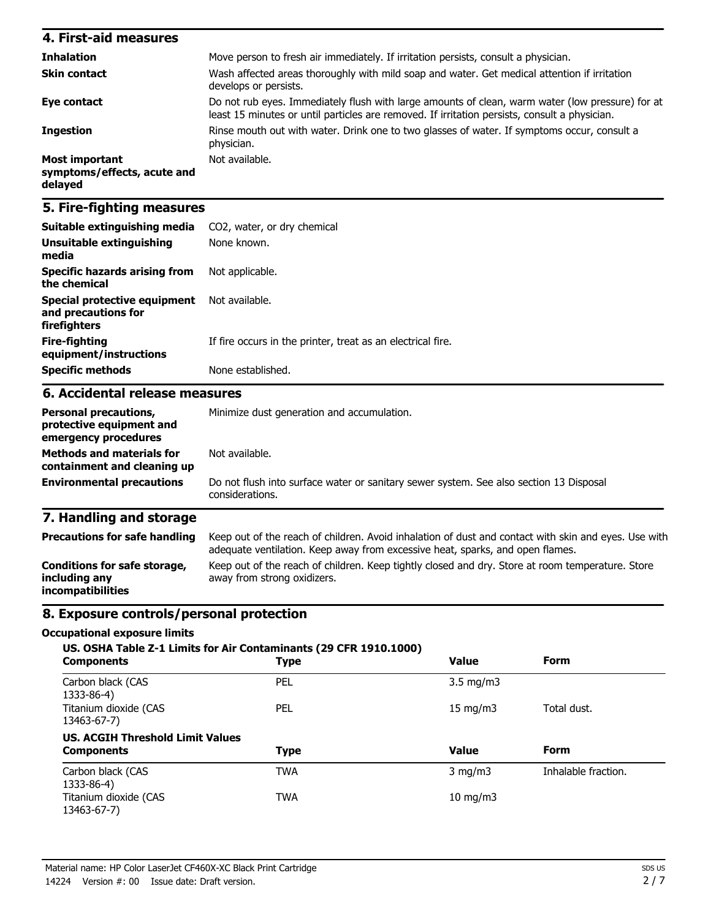| 4. First-aid measures                                    |                                                                                                                                                                                                   |
|----------------------------------------------------------|---------------------------------------------------------------------------------------------------------------------------------------------------------------------------------------------------|
| <b>Inhalation</b>                                        | Move person to fresh air immediately. If irritation persists, consult a physician.                                                                                                                |
| <b>Skin contact</b>                                      | Wash affected areas thoroughly with mild soap and water. Get medical attention if irritation<br>develops or persists.                                                                             |
| Eye contact                                              | Do not rub eyes. Immediately flush with large amounts of clean, warm water (low pressure) for at<br>least 15 minutes or until particles are removed. If irritation persists, consult a physician. |
| <b>Ingestion</b>                                         | Rinse mouth out with water. Drink one to two glasses of water. If symptoms occur, consult a<br>physician.                                                                                         |
| Most important<br>symptoms/effects, acute and<br>delayed | Not available.                                                                                                                                                                                    |

### **5. Fire-fighting measures**

| Suitable extinguishing media                                                     | CO2, water, or dry chemical                                                                                                                                                           |  |  |  |  |
|----------------------------------------------------------------------------------|---------------------------------------------------------------------------------------------------------------------------------------------------------------------------------------|--|--|--|--|
| <b>Unsuitable extinguishing</b><br>media                                         | None known.                                                                                                                                                                           |  |  |  |  |
| <b>Specific hazards arising from</b><br>the chemical                             | Not applicable.                                                                                                                                                                       |  |  |  |  |
| <b>Special protective equipment</b><br>and precautions for<br>firefighters       | Not available.                                                                                                                                                                        |  |  |  |  |
| <b>Fire-fighting</b><br>equipment/instructions                                   | If fire occurs in the printer, treat as an electrical fire.                                                                                                                           |  |  |  |  |
| <b>Specific methods</b>                                                          | None established.                                                                                                                                                                     |  |  |  |  |
| 6. Accidental release measures                                                   |                                                                                                                                                                                       |  |  |  |  |
| <b>Personal precautions,</b><br>protective equipment and<br>emergency procedures | Minimize dust generation and accumulation.                                                                                                                                            |  |  |  |  |
| <b>Methods and materials for</b><br>containment and cleaning up                  | Not available.                                                                                                                                                                        |  |  |  |  |
| <b>Environmental precautions</b>                                                 | Do not flush into surface water or sanitary sewer system. See also section 13 Disposal<br>considerations.                                                                             |  |  |  |  |
| 7. Handling and storage                                                          |                                                                                                                                                                                       |  |  |  |  |
| <b>Precautions for safe handling</b>                                             | Keep out of the reach of children. Avoid inhalation of dust and contact with skin and eyes. Use with<br>adequate ventilation. Keep away from excessive heat, sparks, and open flames. |  |  |  |  |
| Conditions for safe storage,<br>including any                                    | Keep out of the reach of children. Keep tightly closed and dry. Store at room temperature. Store<br>away from strong oxidizers.                                                       |  |  |  |  |

### **8. Exposure controls/personal protection**

#### **Occupational exposure limits**

**incompatibilities**

| <b>Components</b>                       | US. OSHA Table Z-1 Limits for Air Contaminants (29 CFR 1910.1000)<br><b>Type</b> | <b>Value</b>       | <b>Form</b>         |
|-----------------------------------------|----------------------------------------------------------------------------------|--------------------|---------------------|
| Carbon black (CAS<br>1333-86-4)         | PEL                                                                              | $3.5 \text{ mg/m}$ |                     |
| Titanium dioxide (CAS<br>13463-67-7)    | PEL                                                                              | $15 \text{ mg/m}$  | Total dust.         |
| <b>US. ACGIH Threshold Limit Values</b> |                                                                                  |                    |                     |
| <b>Components</b>                       | Type                                                                             | <b>Value</b>       | Form                |
| Carbon black (CAS<br>1333-86-4)         | TWA                                                                              | $3 \text{ mg/m}$   | Inhalable fraction. |
| Titanium dioxide (CAS<br>13463-67-7)    | <b>TWA</b>                                                                       | $10$ mg/m $3$      |                     |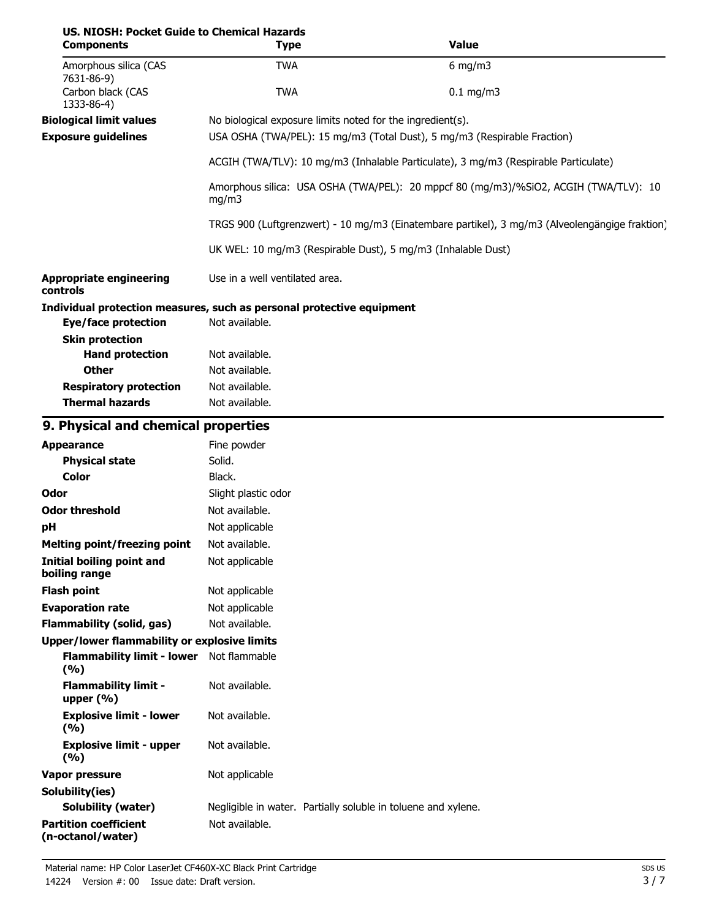| US. NIOSH: Pocket Guide to Chemical Hazards<br><b>Components</b>      | <b>Type</b>                                                                                    |                                                                                                                                        | <b>Value</b> |  |  |
|-----------------------------------------------------------------------|------------------------------------------------------------------------------------------------|----------------------------------------------------------------------------------------------------------------------------------------|--------------|--|--|
| Amorphous silica (CAS                                                 | <b>TWA</b>                                                                                     |                                                                                                                                        | $6$ mg/m3    |  |  |
| 7631-86-9)<br>Carbon black (CAS<br>1333-86-4)                         | <b>TWA</b>                                                                                     |                                                                                                                                        | $0.1$ mg/m3  |  |  |
| <b>Biological limit values</b><br><b>Exposure guidelines</b>          |                                                                                                | No biological exposure limits noted for the ingredient(s).<br>USA OSHA (TWA/PEL): 15 mg/m3 (Total Dust), 5 mg/m3 (Respirable Fraction) |              |  |  |
|                                                                       | ACGIH (TWA/TLV): 10 mg/m3 (Inhalable Particulate), 3 mg/m3 (Respirable Particulate)            |                                                                                                                                        |              |  |  |
|                                                                       | Amorphous silica: USA OSHA (TWA/PEL): 20 mppcf 80 (mg/m3)/%SiO2, ACGIH (TWA/TLV): 10<br>mg/m3  |                                                                                                                                        |              |  |  |
|                                                                       | TRGS 900 (Luftgrenzwert) - 10 mg/m3 (Einatembare partikel), 3 mg/m3 (Alveolengängige fraktion) |                                                                                                                                        |              |  |  |
|                                                                       | UK WEL: 10 mg/m3 (Respirable Dust), 5 mg/m3 (Inhalable Dust)                                   |                                                                                                                                        |              |  |  |
| <b>Appropriate engineering</b><br>controls                            | Use in a well ventilated area.                                                                 |                                                                                                                                        |              |  |  |
| Individual protection measures, such as personal protective equipment |                                                                                                |                                                                                                                                        |              |  |  |
| <b>Eye/face protection</b>                                            | Not available.                                                                                 |                                                                                                                                        |              |  |  |
| <b>Skin protection</b>                                                |                                                                                                |                                                                                                                                        |              |  |  |
| <b>Hand protection</b>                                                | Not available.                                                                                 |                                                                                                                                        |              |  |  |
| <b>Other</b>                                                          | Not available.                                                                                 |                                                                                                                                        |              |  |  |
| <b>Respiratory protection</b><br><b>Thermal hazards</b>               | Not available.<br>Not available.                                                               |                                                                                                                                        |              |  |  |
| 9. Physical and chemical properties                                   |                                                                                                |                                                                                                                                        |              |  |  |
| <b>Appearance</b>                                                     | Fine powder                                                                                    |                                                                                                                                        |              |  |  |
| <b>Physical state</b>                                                 | Solid.                                                                                         |                                                                                                                                        |              |  |  |
| <b>Color</b>                                                          | Black.                                                                                         |                                                                                                                                        |              |  |  |
| Odor                                                                  | Slight plastic odor                                                                            |                                                                                                                                        |              |  |  |
| <b>Odor threshold</b>                                                 | Not available.                                                                                 |                                                                                                                                        |              |  |  |
| pH                                                                    | Not applicable                                                                                 |                                                                                                                                        |              |  |  |
| <b>Melting point/freezing point</b>                                   | Not available.                                                                                 |                                                                                                                                        |              |  |  |
| <b>Initial boiling point and</b><br>boiling range                     | Not applicable                                                                                 |                                                                                                                                        |              |  |  |
| <b>Flash point</b>                                                    | Not applicable                                                                                 |                                                                                                                                        |              |  |  |
| <b>Evaporation rate</b>                                               | Not applicable                                                                                 |                                                                                                                                        |              |  |  |
| <b>Flammability (solid, gas)</b>                                      | Not available.                                                                                 |                                                                                                                                        |              |  |  |
| <b>Upper/lower flammability or explosive limits</b>                   |                                                                                                |                                                                                                                                        |              |  |  |
| Flammability limit - lower Not flammable<br>(%)                       |                                                                                                |                                                                                                                                        |              |  |  |
| <b>Flammability limit -</b><br>upper $(% )$                           | Not available.                                                                                 |                                                                                                                                        |              |  |  |
| <b>Explosive limit - lower</b><br>(9/6)                               | Not available.                                                                                 |                                                                                                                                        |              |  |  |
| <b>Explosive limit - upper</b><br>(%)                                 | Not available.                                                                                 |                                                                                                                                        |              |  |  |
| <b>Vapor pressure</b>                                                 | Not applicable                                                                                 |                                                                                                                                        |              |  |  |
| Solubility(ies)                                                       |                                                                                                |                                                                                                                                        |              |  |  |
| <b>Solubility (water)</b>                                             |                                                                                                | Negligible in water. Partially soluble in toluene and xylene.                                                                          |              |  |  |
| <b>Partition coefficient</b><br>(n-octanol/water)                     | Not available.                                                                                 |                                                                                                                                        |              |  |  |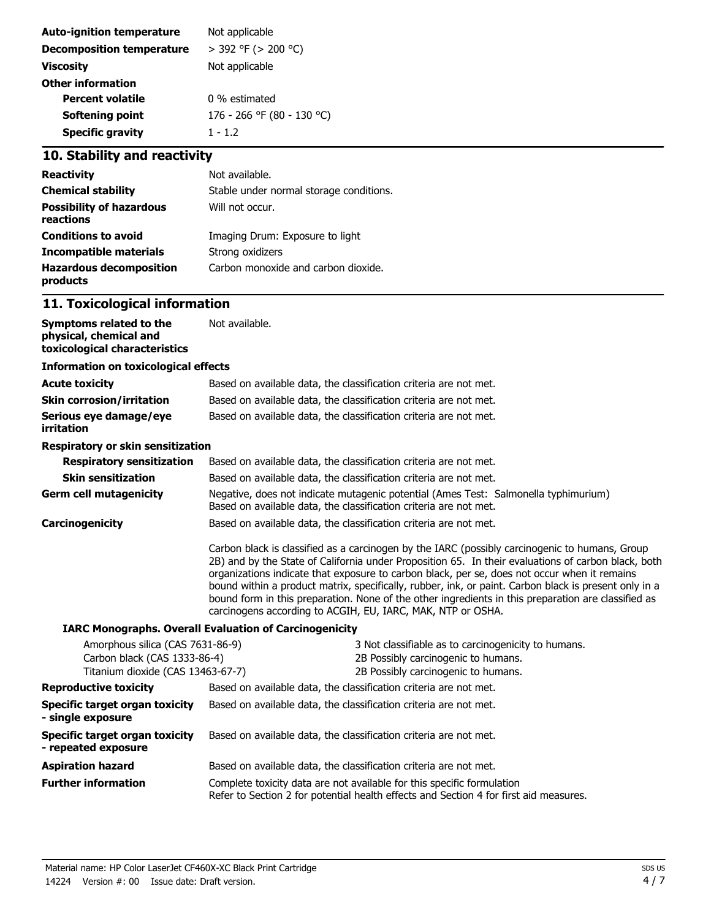| Not applicable             |
|----------------------------|
| $>$ 392 °F ( $>$ 200 °C)   |
| Not applicable             |
|                            |
| 0 % estimated              |
| 176 - 266 °F (80 - 130 °C) |
| $1 - 1.2$                  |
|                            |

## **10. Stability and reactivity**

| <b>Reactivity</b>                            | Not available.                          |
|----------------------------------------------|-----------------------------------------|
| <b>Chemical stability</b>                    | Stable under normal storage conditions. |
| <b>Possibility of hazardous</b><br>reactions | Will not occur.                         |
| <b>Conditions to avoid</b>                   | Imaging Drum: Exposure to light         |
| Incompatible materials                       | Strong oxidizers                        |
| <b>Hazardous decomposition</b><br>products   | Carbon monoxide and carbon dioxide.     |

## **11. Toxicological information**

| Symptoms related to the<br>physical, chemical and<br>toxicological characteristics                    | Not available.                                                                                                                                                                                                                                                                                                                                                                                                                                                                                                                                                                       |  |  |  |
|-------------------------------------------------------------------------------------------------------|--------------------------------------------------------------------------------------------------------------------------------------------------------------------------------------------------------------------------------------------------------------------------------------------------------------------------------------------------------------------------------------------------------------------------------------------------------------------------------------------------------------------------------------------------------------------------------------|--|--|--|
| <b>Information on toxicological effects</b>                                                           |                                                                                                                                                                                                                                                                                                                                                                                                                                                                                                                                                                                      |  |  |  |
| <b>Acute toxicity</b>                                                                                 | Based on available data, the classification criteria are not met.                                                                                                                                                                                                                                                                                                                                                                                                                                                                                                                    |  |  |  |
| Skin corrosion/irritation                                                                             | Based on available data, the classification criteria are not met.                                                                                                                                                                                                                                                                                                                                                                                                                                                                                                                    |  |  |  |
| Serious eye damage/eye<br>irritation                                                                  | Based on available data, the classification criteria are not met.                                                                                                                                                                                                                                                                                                                                                                                                                                                                                                                    |  |  |  |
| Respiratory or skin sensitization                                                                     |                                                                                                                                                                                                                                                                                                                                                                                                                                                                                                                                                                                      |  |  |  |
| <b>Respiratory sensitization</b>                                                                      | Based on available data, the classification criteria are not met.                                                                                                                                                                                                                                                                                                                                                                                                                                                                                                                    |  |  |  |
| <b>Skin sensitization</b>                                                                             | Based on available data, the classification criteria are not met.                                                                                                                                                                                                                                                                                                                                                                                                                                                                                                                    |  |  |  |
| <b>Germ cell mutagenicity</b>                                                                         | Negative, does not indicate mutagenic potential (Ames Test: Salmonella typhimurium)<br>Based on available data, the classification criteria are not met.                                                                                                                                                                                                                                                                                                                                                                                                                             |  |  |  |
| <b>Carcinogenicity</b>                                                                                | Based on available data, the classification criteria are not met.                                                                                                                                                                                                                                                                                                                                                                                                                                                                                                                    |  |  |  |
|                                                                                                       | Carbon black is classified as a carcinogen by the IARC (possibly carcinogenic to humans, Group<br>2B) and by the State of California under Proposition 65. In their evaluations of carbon black, both<br>organizations indicate that exposure to carbon black, per se, does not occur when it remains<br>bound within a product matrix, specifically, rubber, ink, or paint. Carbon black is present only in a<br>bound form in this preparation. None of the other ingredients in this preparation are classified as<br>carcinogens according to ACGIH, EU, IARC, MAK, NTP or OSHA. |  |  |  |
|                                                                                                       | <b>IARC Monographs. Overall Evaluation of Carcinogenicity</b>                                                                                                                                                                                                                                                                                                                                                                                                                                                                                                                        |  |  |  |
| Amorphous silica (CAS 7631-86-9)<br>Carbon black (CAS 1333-86-4)<br>Titanium dioxide (CAS 13463-67-7) | 3 Not classifiable as to carcinogenicity to humans.<br>2B Possibly carcinogenic to humans.<br>2B Possibly carcinogenic to humans.                                                                                                                                                                                                                                                                                                                                                                                                                                                    |  |  |  |
| <b>Reproductive toxicity</b>                                                                          | Based on available data, the classification criteria are not met.                                                                                                                                                                                                                                                                                                                                                                                                                                                                                                                    |  |  |  |
| Specific target organ toxicity<br>- single exposure                                                   | Based on available data, the classification criteria are not met.                                                                                                                                                                                                                                                                                                                                                                                                                                                                                                                    |  |  |  |
| Specific target organ toxicity<br>- repeated exposure                                                 | Based on available data, the classification criteria are not met.                                                                                                                                                                                                                                                                                                                                                                                                                                                                                                                    |  |  |  |
| <b>Aspiration hazard</b>                                                                              | Based on available data, the classification criteria are not met.                                                                                                                                                                                                                                                                                                                                                                                                                                                                                                                    |  |  |  |
| <b>Further information</b>                                                                            | Complete toxicity data are not available for this specific formulation<br>Refer to Section 2 for potential health effects and Section 4 for first aid measures.                                                                                                                                                                                                                                                                                                                                                                                                                      |  |  |  |
|                                                                                                       |                                                                                                                                                                                                                                                                                                                                                                                                                                                                                                                                                                                      |  |  |  |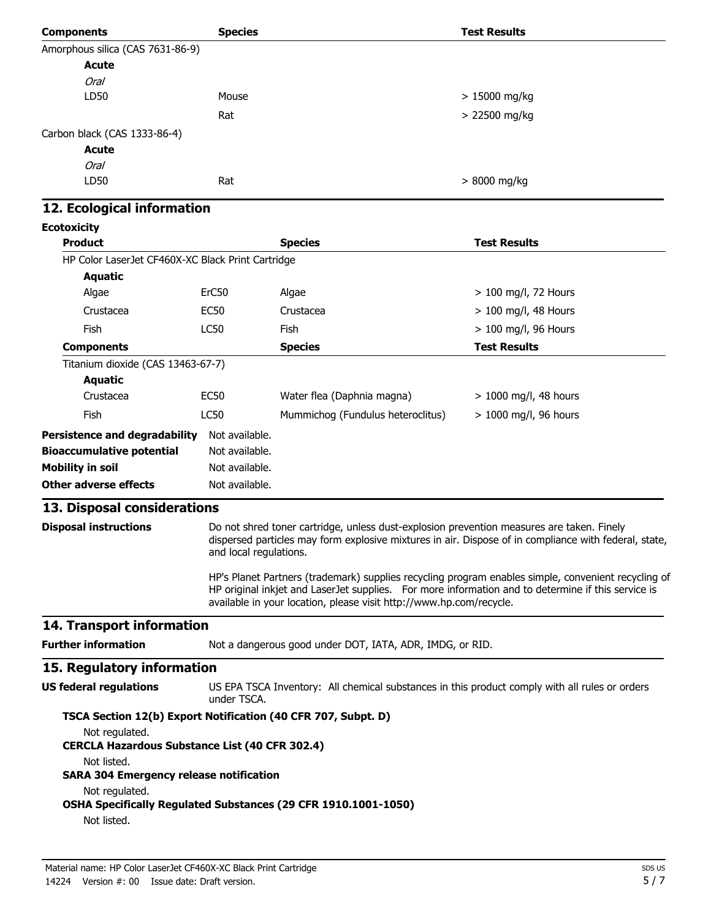| <b>Components</b>                                                       | <b>Species</b>         |                                                                                           | <b>Test Results</b>                                                                                   |
|-------------------------------------------------------------------------|------------------------|-------------------------------------------------------------------------------------------|-------------------------------------------------------------------------------------------------------|
| Amorphous silica (CAS 7631-86-9)                                        |                        |                                                                                           |                                                                                                       |
| <b>Acute</b>                                                            |                        |                                                                                           |                                                                                                       |
| <b>Oral</b>                                                             |                        |                                                                                           |                                                                                                       |
| LD50                                                                    | Mouse                  |                                                                                           | $>15000$ mg/kg                                                                                        |
|                                                                         | Rat                    |                                                                                           | > 22500 mg/kg                                                                                         |
| Carbon black (CAS 1333-86-4)                                            |                        |                                                                                           |                                                                                                       |
| <b>Acute</b>                                                            |                        |                                                                                           |                                                                                                       |
| <b>Oral</b>                                                             |                        |                                                                                           |                                                                                                       |
| LD50                                                                    | Rat                    |                                                                                           | > 8000 mg/kg                                                                                          |
| 12. Ecological information                                              |                        |                                                                                           |                                                                                                       |
| <b>Ecotoxicity</b>                                                      |                        |                                                                                           |                                                                                                       |
| <b>Product</b>                                                          |                        | <b>Species</b>                                                                            | <b>Test Results</b>                                                                                   |
| HP Color LaserJet CF460X-XC Black Print Cartridge                       |                        |                                                                                           |                                                                                                       |
| <b>Aquatic</b>                                                          |                        |                                                                                           |                                                                                                       |
| Algae                                                                   | ErC50                  | Algae                                                                                     | $> 100$ mg/l, 72 Hours                                                                                |
| Crustacea                                                               | EC <sub>50</sub>       | Crustacea                                                                                 | $> 100$ mg/l, 48 Hours                                                                                |
| <b>Fish</b>                                                             | <b>LC50</b>            | Fish                                                                                      | > 100 mg/l, 96 Hours                                                                                  |
| <b>Components</b>                                                       |                        | <b>Species</b>                                                                            | <b>Test Results</b>                                                                                   |
| Titanium dioxide (CAS 13463-67-7)                                       |                        |                                                                                           |                                                                                                       |
| <b>Aquatic</b>                                                          |                        |                                                                                           |                                                                                                       |
| Crustacea                                                               | <b>EC50</b>            | Water flea (Daphnia magna)                                                                | > 1000 mg/l, 48 hours                                                                                 |
| <b>Fish</b>                                                             | LC50                   | Mummichog (Fundulus heteroclitus)                                                         | $> 1000$ mg/l, 96 hours                                                                               |
| <b>Persistence and degradability</b>                                    | Not available.         |                                                                                           |                                                                                                       |
| <b>Bioaccumulative potential</b>                                        | Not available.         |                                                                                           |                                                                                                       |
| <b>Mobility in soil</b>                                                 | Not available.         |                                                                                           |                                                                                                       |
| <b>Other adverse effects</b>                                            | Not available.         |                                                                                           |                                                                                                       |
| 13. Disposal considerations                                             |                        |                                                                                           |                                                                                                       |
| <b>Disposal instructions</b>                                            |                        | Do not shred toner cartridge, unless dust-explosion prevention measures are taken. Finely |                                                                                                       |
|                                                                         | and local regulations. |                                                                                           | dispersed particles may form explosive mixtures in air. Dispose of in compliance with federal, state, |
|                                                                         |                        |                                                                                           | HP's Planet Partners (trademark) supplies recycling program enables simple, convenient recycling of   |
|                                                                         |                        | available in your location, please visit http://www.hp.com/recycle.                       | HP original inkjet and LaserJet supplies. For more information and to determine if this service is    |
| 14. Transport information                                               |                        |                                                                                           |                                                                                                       |
| <b>Further information</b>                                              |                        | Not a dangerous good under DOT, IATA, ADR, IMDG, or RID.                                  |                                                                                                       |
| 15. Regulatory information                                              |                        |                                                                                           |                                                                                                       |
| <b>US federal regulations</b>                                           |                        |                                                                                           | US EPA TSCA Inventory: All chemical substances in this product comply with all rules or orders        |
|                                                                         | under TSCA.            |                                                                                           |                                                                                                       |
| TSCA Section 12(b) Export Notification (40 CFR 707, Subpt. D)           |                        |                                                                                           |                                                                                                       |
| Not regulated.<br><b>CERCLA Hazardous Substance List (40 CFR 302.4)</b> |                        |                                                                                           |                                                                                                       |
| Not listed.<br><b>SARA 304 Emergency release notification</b>           |                        |                                                                                           |                                                                                                       |
| Not regulated.                                                          |                        |                                                                                           |                                                                                                       |
| Not listed.                                                             |                        | OSHA Specifically Regulated Substances (29 CFR 1910.1001-1050)                            |                                                                                                       |
|                                                                         |                        |                                                                                           |                                                                                                       |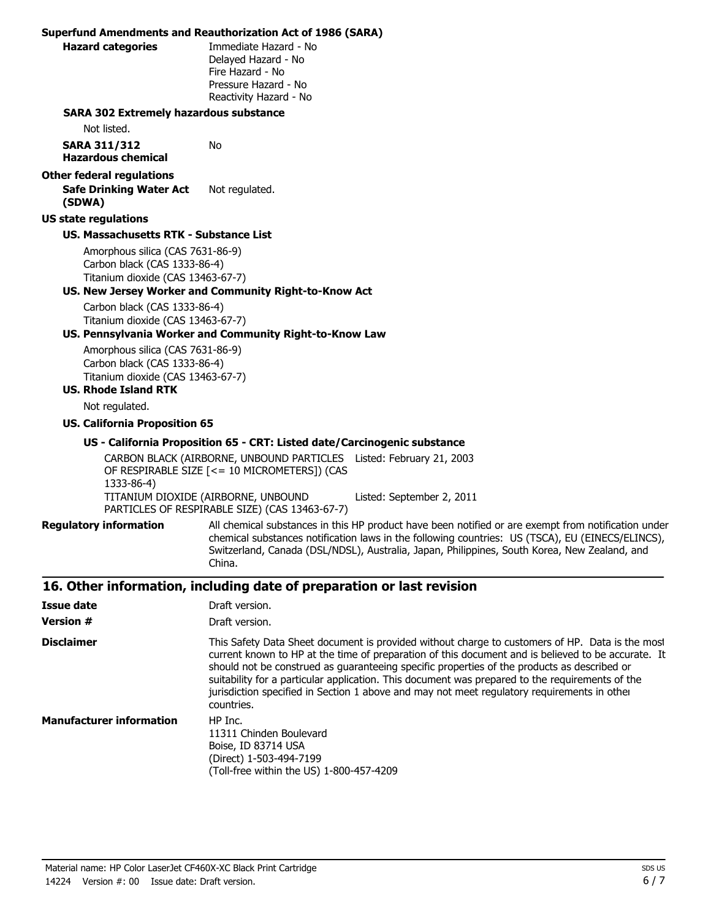|                                                                                                                                      | <b>Superfund Amendments and Reauthorization Act of 1986 (SARA)</b>                                                                                                                                                                                                                                                                                                                                                                                                                                                   |
|--------------------------------------------------------------------------------------------------------------------------------------|----------------------------------------------------------------------------------------------------------------------------------------------------------------------------------------------------------------------------------------------------------------------------------------------------------------------------------------------------------------------------------------------------------------------------------------------------------------------------------------------------------------------|
| <b>Hazard categories</b>                                                                                                             | Immediate Hazard - No<br>Delayed Hazard - No<br>Fire Hazard - No<br>Pressure Hazard - No<br>Reactivity Hazard - No                                                                                                                                                                                                                                                                                                                                                                                                   |
| <b>SARA 302 Extremely hazardous substance</b>                                                                                        |                                                                                                                                                                                                                                                                                                                                                                                                                                                                                                                      |
| Not listed.                                                                                                                          |                                                                                                                                                                                                                                                                                                                                                                                                                                                                                                                      |
| <b>SARA 311/312</b><br><b>Hazardous chemical</b>                                                                                     | No                                                                                                                                                                                                                                                                                                                                                                                                                                                                                                                   |
| <b>Other federal regulations</b><br><b>Safe Drinking Water Act</b><br>(SDWA)                                                         | Not regulated.                                                                                                                                                                                                                                                                                                                                                                                                                                                                                                       |
| <b>US state regulations</b>                                                                                                          |                                                                                                                                                                                                                                                                                                                                                                                                                                                                                                                      |
| <b>US. Massachusetts RTK - Substance List</b>                                                                                        |                                                                                                                                                                                                                                                                                                                                                                                                                                                                                                                      |
| Amorphous silica (CAS 7631-86-9)<br>Carbon black (CAS 1333-86-4)<br>Titanium dioxide (CAS 13463-67-7)                                | US. New Jersey Worker and Community Right-to-Know Act                                                                                                                                                                                                                                                                                                                                                                                                                                                                |
| Carbon black (CAS 1333-86-4)<br>Titanium dioxide (CAS 13463-67-7)                                                                    | US. Pennsylvania Worker and Community Right-to-Know Law                                                                                                                                                                                                                                                                                                                                                                                                                                                              |
| Amorphous silica (CAS 7631-86-9)<br>Carbon black (CAS 1333-86-4)<br>Titanium dioxide (CAS 13463-67-7)<br><b>US. Rhode Island RTK</b> |                                                                                                                                                                                                                                                                                                                                                                                                                                                                                                                      |
| Not regulated.                                                                                                                       |                                                                                                                                                                                                                                                                                                                                                                                                                                                                                                                      |
| <b>US. California Proposition 65</b>                                                                                                 |                                                                                                                                                                                                                                                                                                                                                                                                                                                                                                                      |
|                                                                                                                                      | US - California Proposition 65 - CRT: Listed date/Carcinogenic substance                                                                                                                                                                                                                                                                                                                                                                                                                                             |
| 1333-86-4)                                                                                                                           | CARBON BLACK (AIRBORNE, UNBOUND PARTICLES Listed: February 21, 2003<br>OF RESPIRABLE SIZE [<= 10 MICROMETERS]) (CAS<br>TITANIUM DIOXIDE (AIRBORNE, UNBOUND<br>Listed: September 2, 2011<br>PARTICLES OF RESPIRABLE SIZE) (CAS 13463-67-7)                                                                                                                                                                                                                                                                            |
| <b>Regulatory information</b>                                                                                                        | All chemical substances in this HP product have been notified or are exempt from notification under<br>chemical substances notification laws in the following countries: US (TSCA), EU (EINECS/ELINCS),<br>Switzerland, Canada (DSL/NDSL), Australia, Japan, Philippines, South Korea, New Zealand, and<br>China.                                                                                                                                                                                                    |
|                                                                                                                                      | 16. Other information, including date of preparation or last revision                                                                                                                                                                                                                                                                                                                                                                                                                                                |
| <b>Issue date</b>                                                                                                                    | Draft version.                                                                                                                                                                                                                                                                                                                                                                                                                                                                                                       |
| <b>Version #</b>                                                                                                                     | Draft version.                                                                                                                                                                                                                                                                                                                                                                                                                                                                                                       |
| <b>Disclaimer</b>                                                                                                                    | This Safety Data Sheet document is provided without charge to customers of HP. Data is the most<br>current known to HP at the time of preparation of this document and is believed to be accurate. It<br>should not be construed as guaranteeing specific properties of the products as described or<br>suitability for a particular application. This document was prepared to the requirements of the<br>jurisdiction specified in Section 1 above and may not meet regulatory requirements in other<br>countries. |
| <b>Manufacturer information</b>                                                                                                      | HP Inc.<br>11311 Chinden Boulevard<br>Boise, ID 83714 USA                                                                                                                                                                                                                                                                                                                                                                                                                                                            |

(Direct) 1-503-494-7199

(Toll-free within the US) 1-800-457-4209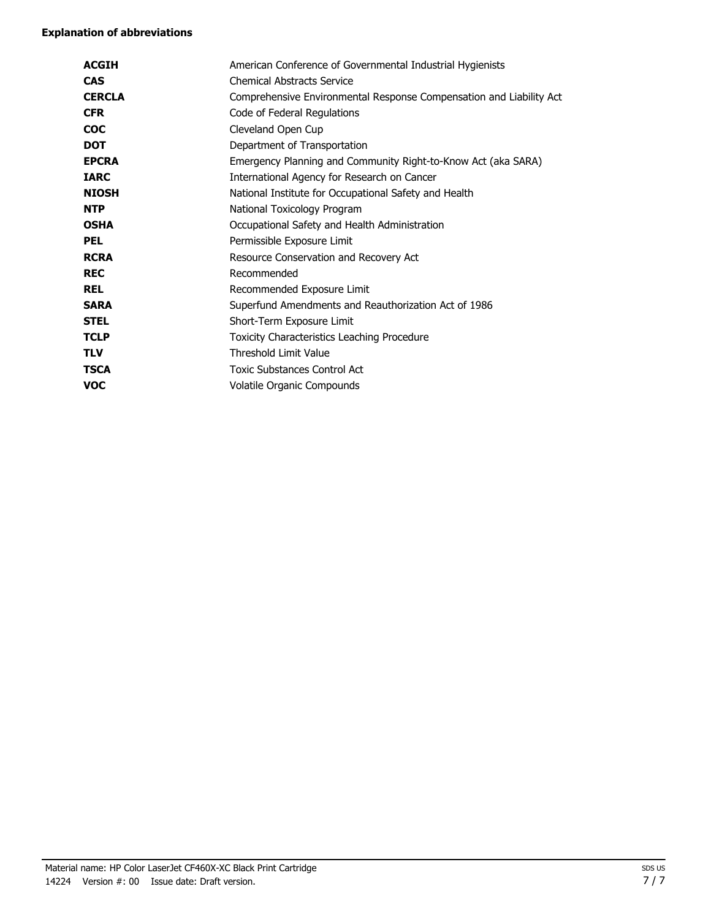#### **Explanation of abbreviations**

| <b>ACGIH</b>  | American Conference of Governmental Industrial Hygienists           |
|---------------|---------------------------------------------------------------------|
| <b>CAS</b>    | <b>Chemical Abstracts Service</b>                                   |
| <b>CERCLA</b> | Comprehensive Environmental Response Compensation and Liability Act |
| <b>CFR</b>    | Code of Federal Regulations                                         |
| <b>COC</b>    | Cleveland Open Cup                                                  |
| <b>DOT</b>    | Department of Transportation                                        |
| <b>EPCRA</b>  | Emergency Planning and Community Right-to-Know Act (aka SARA)       |
| <b>IARC</b>   | International Agency for Research on Cancer                         |
| <b>NIOSH</b>  | National Institute for Occupational Safety and Health               |
| <b>NTP</b>    | National Toxicology Program                                         |
| <b>OSHA</b>   | Occupational Safety and Health Administration                       |
| <b>PEL</b>    | Permissible Exposure Limit                                          |
| <b>RCRA</b>   | Resource Conservation and Recovery Act                              |
| <b>REC</b>    | Recommended                                                         |
| <b>REL</b>    | Recommended Exposure Limit                                          |
| <b>SARA</b>   | Superfund Amendments and Reauthorization Act of 1986                |
| <b>STEL</b>   | Short-Term Exposure Limit                                           |
| <b>TCLP</b>   | Toxicity Characteristics Leaching Procedure                         |
| <b>TLV</b>    | Threshold Limit Value                                               |
| <b>TSCA</b>   | <b>Toxic Substances Control Act</b>                                 |
| <b>VOC</b>    | Volatile Organic Compounds                                          |
|               |                                                                     |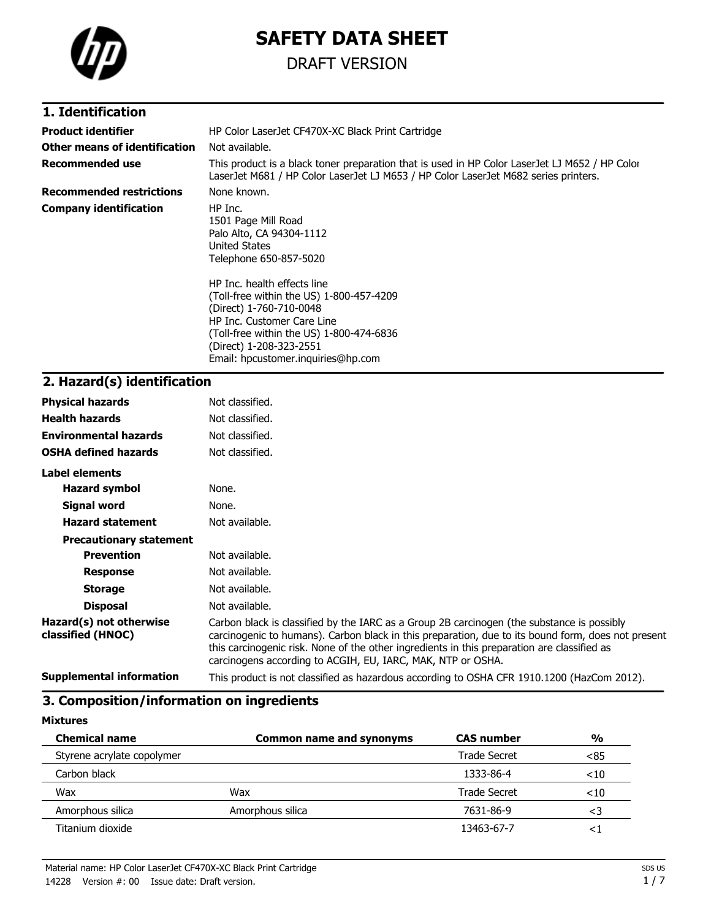

# **SAFETY DATA SHEET**

## DRAFT VERSION

### **1. Identification**

| <b>Product identifier</b>       | HP Color LaserJet CF470X-XC Black Print Cartridge                                                                                                                                                                                             |
|---------------------------------|-----------------------------------------------------------------------------------------------------------------------------------------------------------------------------------------------------------------------------------------------|
| Other means of identification   | Not available.                                                                                                                                                                                                                                |
| Recommended use                 | This product is a black toner preparation that is used in HP Color LaserJet LJ M652 / HP Color<br>LaserJet M681 / HP Color LaserJet LJ M653 / HP Color LaserJet M682 series printers.                                                         |
| <b>Recommended restrictions</b> | None known.                                                                                                                                                                                                                                   |
| <b>Company identification</b>   | HP Inc.<br>1501 Page Mill Road<br>Palo Alto, CA 94304-1112<br>United States<br>Telephone 650-857-5020                                                                                                                                         |
|                                 | HP Inc. health effects line<br>(Toll-free within the US) 1-800-457-4209<br>(Direct) 1-760-710-0048<br>HP Inc. Customer Care Line<br>(Toll-free within the US) 1-800-474-6836<br>(Direct) 1-208-323-2551<br>Email: hpcustomer.inguiries@hp.com |

## **2. Hazard(s) identification**

| <b>Physical hazards</b>                      | Not classified.                                                                                                                                                                                                                                                                                                                                                |
|----------------------------------------------|----------------------------------------------------------------------------------------------------------------------------------------------------------------------------------------------------------------------------------------------------------------------------------------------------------------------------------------------------------------|
| <b>Health hazards</b>                        | Not classified.                                                                                                                                                                                                                                                                                                                                                |
| <b>Environmental hazards</b>                 | Not classified.                                                                                                                                                                                                                                                                                                                                                |
| <b>OSHA defined hazards</b>                  | Not classified.                                                                                                                                                                                                                                                                                                                                                |
| Label elements                               |                                                                                                                                                                                                                                                                                                                                                                |
| <b>Hazard symbol</b>                         | None.                                                                                                                                                                                                                                                                                                                                                          |
| Signal word                                  | None.                                                                                                                                                                                                                                                                                                                                                          |
| <b>Hazard statement</b>                      | Not available.                                                                                                                                                                                                                                                                                                                                                 |
| <b>Precautionary statement</b>               |                                                                                                                                                                                                                                                                                                                                                                |
| <b>Prevention</b>                            | Not available.                                                                                                                                                                                                                                                                                                                                                 |
| <b>Response</b>                              | Not available.                                                                                                                                                                                                                                                                                                                                                 |
| <b>Storage</b>                               | Not available.                                                                                                                                                                                                                                                                                                                                                 |
| <b>Disposal</b>                              | Not available.                                                                                                                                                                                                                                                                                                                                                 |
| Hazard(s) not otherwise<br>classified (HNOC) | Carbon black is classified by the IARC as a Group 2B carcinogen (the substance is possibly<br>carcinogenic to humans). Carbon black in this preparation, due to its bound form, does not present<br>this carcinogenic risk. None of the other ingredients in this preparation are classified as<br>carcinogens according to ACGIH, EU, IARC, MAK, NTP or OSHA. |
| <b>Supplemental information</b>              | This product is not classified as hazardous according to OSHA CFR 1910.1200 (HazCom 2012).                                                                                                                                                                                                                                                                     |

### **3. Composition/information on ingredients**

**Mixtures**

| <b>Chemical name</b>       | <b>Common name and synonyms</b> | <b>CAS number</b>   | $\frac{0}{0}$ |
|----------------------------|---------------------------------|---------------------|---------------|
| Styrene acrylate copolymer |                                 | <b>Trade Secret</b> | <85           |
| Carbon black               |                                 | 1333-86-4           | $<$ 10        |
| Wax                        | Wax                             | Trade Secret        | $<$ 10        |
| Amorphous silica           | Amorphous silica                | 7631-86-9           | <3            |
| Titanium dioxide           |                                 | 13463-67-7          | $\leq$        |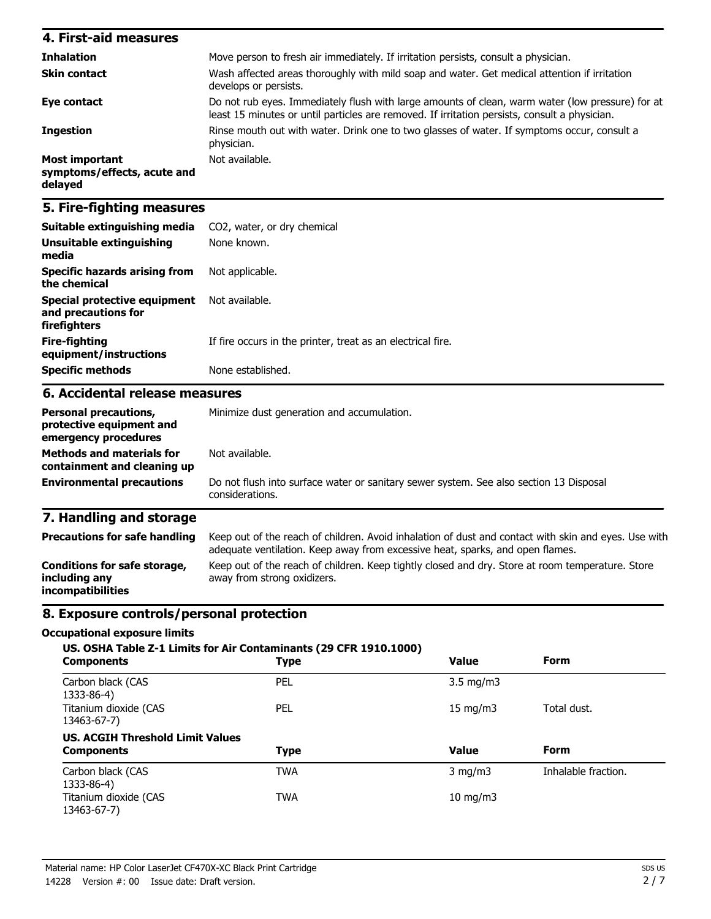| 4. First-aid measures                                    |                                                                                                                                                                                                   |
|----------------------------------------------------------|---------------------------------------------------------------------------------------------------------------------------------------------------------------------------------------------------|
| <b>Inhalation</b>                                        | Move person to fresh air immediately. If irritation persists, consult a physician.                                                                                                                |
| <b>Skin contact</b>                                      | Wash affected areas thoroughly with mild soap and water. Get medical attention if irritation<br>develops or persists.                                                                             |
| Eye contact                                              | Do not rub eyes. Immediately flush with large amounts of clean, warm water (low pressure) for at<br>least 15 minutes or until particles are removed. If irritation persists, consult a physician. |
| <b>Ingestion</b>                                         | Rinse mouth out with water. Drink one to two glasses of water. If symptoms occur, consult a<br>physician.                                                                                         |
| Most important<br>symptoms/effects, acute and<br>delayed | Not available.                                                                                                                                                                                    |

### **5. Fire-fighting measures**

| Suitable extinguishing media                                                     | CO2, water, or dry chemical                                                                                                                                                           |  |  |
|----------------------------------------------------------------------------------|---------------------------------------------------------------------------------------------------------------------------------------------------------------------------------------|--|--|
| <b>Unsuitable extinguishing</b><br>media                                         | None known.                                                                                                                                                                           |  |  |
| <b>Specific hazards arising from</b><br>the chemical                             | Not applicable.                                                                                                                                                                       |  |  |
| <b>Special protective equipment</b><br>and precautions for<br>firefighters       | Not available.                                                                                                                                                                        |  |  |
| <b>Fire-fighting</b><br>equipment/instructions                                   | If fire occurs in the printer, treat as an electrical fire.                                                                                                                           |  |  |
| <b>Specific methods</b>                                                          | None established.                                                                                                                                                                     |  |  |
| 6. Accidental release measures                                                   |                                                                                                                                                                                       |  |  |
| <b>Personal precautions,</b><br>protective equipment and<br>emergency procedures | Minimize dust generation and accumulation.                                                                                                                                            |  |  |
| <b>Methods and materials for</b><br>containment and cleaning up                  | Not available.                                                                                                                                                                        |  |  |
| <b>Environmental precautions</b>                                                 | Do not flush into surface water or sanitary sewer system. See also section 13 Disposal<br>considerations.                                                                             |  |  |
| 7. Handling and storage                                                          |                                                                                                                                                                                       |  |  |
| <b>Precautions for safe handling</b>                                             | Keep out of the reach of children. Avoid inhalation of dust and contact with skin and eyes. Use with<br>adequate ventilation. Keep away from excessive heat, sparks, and open flames. |  |  |
| <b>Conditions for safe storage,</b><br>including any                             | Keep out of the reach of children. Keep tightly closed and dry. Store at room temperature. Store<br>away from strong oxidizers.                                                       |  |  |

### **8. Exposure controls/personal protection**

#### **Occupational exposure limits**

**incompatibilities**

| <b>Components</b>                       | US. OSHA Table Z-1 Limits for Air Contaminants (29 CFR 1910.1000)<br><b>Type</b> | <b>Value</b>       | <b>Form</b>         |
|-----------------------------------------|----------------------------------------------------------------------------------|--------------------|---------------------|
| Carbon black (CAS<br>1333-86-4)         | <b>PEL</b>                                                                       | $3.5 \text{ mg/m}$ |                     |
| Titanium dioxide (CAS<br>13463-67-7)    | <b>PEL</b>                                                                       | $15 \text{ mg/m}$  | Total dust.         |
| <b>US. ACGIH Threshold Limit Values</b> |                                                                                  |                    |                     |
| <b>Components</b>                       | <b>Type</b>                                                                      | <b>Value</b>       | <b>Form</b>         |
| Carbon black (CAS<br>1333-86-4)         | <b>TWA</b>                                                                       | $3 \text{ mg/m}$   | Inhalable fraction. |
| Titanium dioxide (CAS<br>13463-67-7)    | <b>TWA</b>                                                                       | $10$ mg/m $3$      |                     |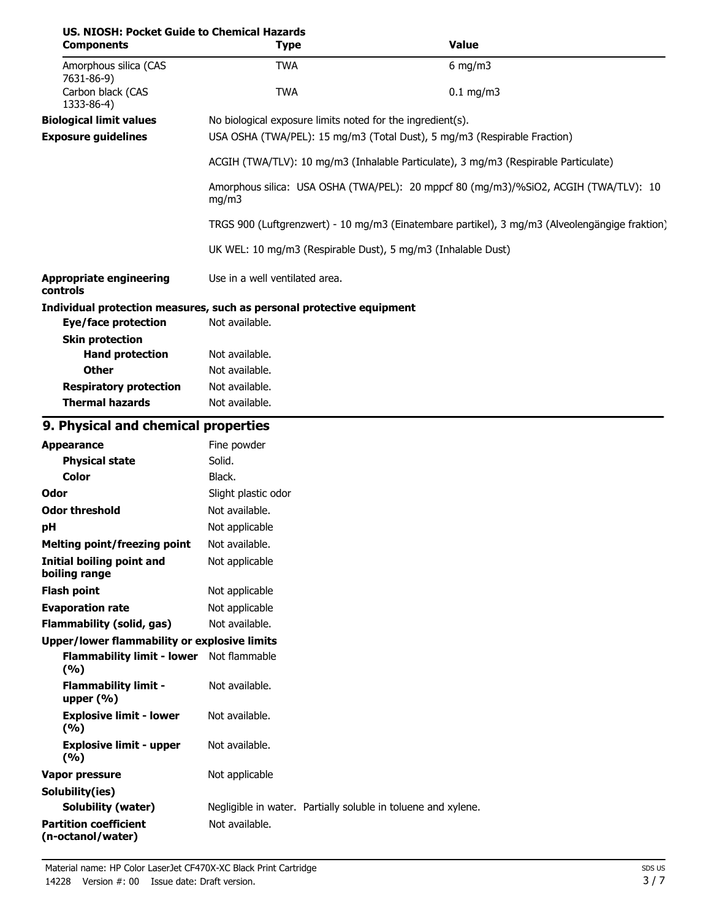| US. NIOSH: Pocket Guide to Chemical Hazards<br><b>Components</b>      | <b>Type</b>                                                                                                                            |                                                               | <b>Value</b> |
|-----------------------------------------------------------------------|----------------------------------------------------------------------------------------------------------------------------------------|---------------------------------------------------------------|--------------|
| Amorphous silica (CAS                                                 | <b>TWA</b>                                                                                                                             |                                                               | $6$ mg/m3    |
| 7631-86-9)<br>Carbon black (CAS<br>1333-86-4)                         | <b>TWA</b>                                                                                                                             |                                                               | $0.1$ mg/m3  |
| <b>Biological limit values</b><br><b>Exposure guidelines</b>          | No biological exposure limits noted for the ingredient(s).<br>USA OSHA (TWA/PEL): 15 mg/m3 (Total Dust), 5 mg/m3 (Respirable Fraction) |                                                               |              |
|                                                                       | ACGIH (TWA/TLV): 10 mg/m3 (Inhalable Particulate), 3 mg/m3 (Respirable Particulate)                                                    |                                                               |              |
|                                                                       | Amorphous silica: USA OSHA (TWA/PEL): 20 mppcf 80 (mg/m3)/%SiO2, ACGIH (TWA/TLV): 10<br>mg/m3                                          |                                                               |              |
|                                                                       | TRGS 900 (Luftgrenzwert) - 10 mg/m3 (Einatembare partikel), 3 mg/m3 (Alveolengängige fraktion)                                         |                                                               |              |
|                                                                       |                                                                                                                                        | UK WEL: 10 mg/m3 (Respirable Dust), 5 mg/m3 (Inhalable Dust)  |              |
| <b>Appropriate engineering</b><br>controls                            | Use in a well ventilated area.                                                                                                         |                                                               |              |
| Individual protection measures, such as personal protective equipment |                                                                                                                                        |                                                               |              |
| <b>Eye/face protection</b>                                            | Not available.                                                                                                                         |                                                               |              |
| <b>Skin protection</b>                                                |                                                                                                                                        |                                                               |              |
| <b>Hand protection</b>                                                | Not available.                                                                                                                         |                                                               |              |
| <b>Other</b>                                                          | Not available.                                                                                                                         |                                                               |              |
| <b>Respiratory protection</b><br><b>Thermal hazards</b>               | Not available.<br>Not available.                                                                                                       |                                                               |              |
| 9. Physical and chemical properties                                   |                                                                                                                                        |                                                               |              |
| <b>Appearance</b>                                                     | Fine powder                                                                                                                            |                                                               |              |
| <b>Physical state</b>                                                 | Solid.                                                                                                                                 |                                                               |              |
| <b>Color</b>                                                          | Black.                                                                                                                                 |                                                               |              |
| Odor                                                                  | Slight plastic odor                                                                                                                    |                                                               |              |
| <b>Odor threshold</b>                                                 | Not available.                                                                                                                         |                                                               |              |
| pH                                                                    | Not applicable                                                                                                                         |                                                               |              |
| <b>Melting point/freezing point</b>                                   | Not available.                                                                                                                         |                                                               |              |
| <b>Initial boiling point and</b><br>boiling range                     | Not applicable                                                                                                                         |                                                               |              |
| <b>Flash point</b>                                                    | Not applicable                                                                                                                         |                                                               |              |
| <b>Evaporation rate</b>                                               | Not applicable                                                                                                                         |                                                               |              |
| <b>Flammability (solid, gas)</b>                                      | Not available.                                                                                                                         |                                                               |              |
| <b>Upper/lower flammability or explosive limits</b>                   |                                                                                                                                        |                                                               |              |
| Flammability limit - lower Not flammable<br>(%)                       |                                                                                                                                        |                                                               |              |
| <b>Flammability limit -</b><br>upper $(% )$                           | Not available.                                                                                                                         |                                                               |              |
| <b>Explosive limit - lower</b><br>(9/6)                               | Not available.                                                                                                                         |                                                               |              |
| <b>Explosive limit - upper</b><br>(%)                                 | Not available.                                                                                                                         |                                                               |              |
| <b>Vapor pressure</b>                                                 | Not applicable                                                                                                                         |                                                               |              |
| Solubility(ies)                                                       |                                                                                                                                        |                                                               |              |
| <b>Solubility (water)</b>                                             |                                                                                                                                        | Negligible in water. Partially soluble in toluene and xylene. |              |
| <b>Partition coefficient</b><br>(n-octanol/water)                     | Not available.                                                                                                                         |                                                               |              |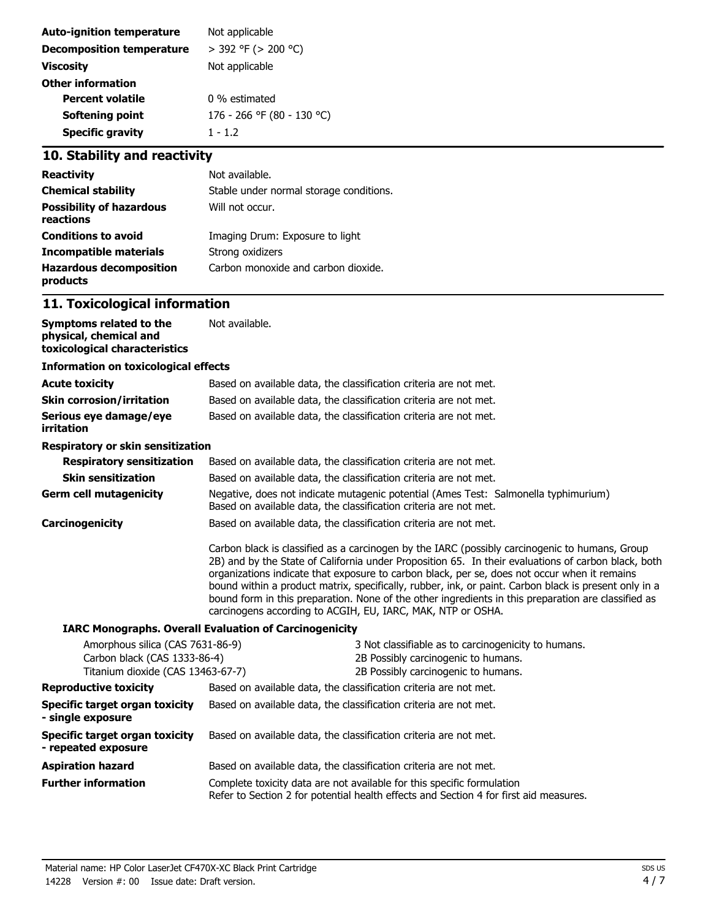| Not applicable             |
|----------------------------|
| $>$ 392 °F ( $>$ 200 °C)   |
| Not applicable             |
|                            |
| 0 % estimated              |
| 176 - 266 °F (80 - 130 °C) |
| $1 - 1.2$                  |
|                            |

## **10. Stability and reactivity**

| <b>Reactivity</b>                            | Not available.                          |
|----------------------------------------------|-----------------------------------------|
| <b>Chemical stability</b>                    | Stable under normal storage conditions. |
| <b>Possibility of hazardous</b><br>reactions | Will not occur.                         |
| <b>Conditions to avoid</b>                   | Imaging Drum: Exposure to light         |
| Incompatible materials                       | Strong oxidizers                        |
| <b>Hazardous decomposition</b><br>products   | Carbon monoxide and carbon dioxide.     |

## **11. Toxicological information**

| Symptoms related to the<br>physical, chemical and<br>toxicological characteristics                    | Not available.                                                                                                                                                                                                                                                                                                                                                                                                                                                                                                                                                                       |  |
|-------------------------------------------------------------------------------------------------------|--------------------------------------------------------------------------------------------------------------------------------------------------------------------------------------------------------------------------------------------------------------------------------------------------------------------------------------------------------------------------------------------------------------------------------------------------------------------------------------------------------------------------------------------------------------------------------------|--|
| <b>Information on toxicological effects</b>                                                           |                                                                                                                                                                                                                                                                                                                                                                                                                                                                                                                                                                                      |  |
| <b>Acute toxicity</b>                                                                                 | Based on available data, the classification criteria are not met.                                                                                                                                                                                                                                                                                                                                                                                                                                                                                                                    |  |
| <b>Skin corrosion/irritation</b>                                                                      | Based on available data, the classification criteria are not met.                                                                                                                                                                                                                                                                                                                                                                                                                                                                                                                    |  |
| Serious eye damage/eye<br>irritation                                                                  | Based on available data, the classification criteria are not met.                                                                                                                                                                                                                                                                                                                                                                                                                                                                                                                    |  |
| Respiratory or skin sensitization                                                                     |                                                                                                                                                                                                                                                                                                                                                                                                                                                                                                                                                                                      |  |
| <b>Respiratory sensitization</b>                                                                      | Based on available data, the classification criteria are not met.                                                                                                                                                                                                                                                                                                                                                                                                                                                                                                                    |  |
| <b>Skin sensitization</b>                                                                             | Based on available data, the classification criteria are not met.                                                                                                                                                                                                                                                                                                                                                                                                                                                                                                                    |  |
| <b>Germ cell mutagenicity</b>                                                                         | Negative, does not indicate mutagenic potential (Ames Test: Salmonella typhimurium)<br>Based on available data, the classification criteria are not met.                                                                                                                                                                                                                                                                                                                                                                                                                             |  |
| <b>Carcinogenicity</b>                                                                                | Based on available data, the classification criteria are not met.                                                                                                                                                                                                                                                                                                                                                                                                                                                                                                                    |  |
|                                                                                                       | Carbon black is classified as a carcinogen by the IARC (possibly carcinogenic to humans, Group<br>2B) and by the State of California under Proposition 65. In their evaluations of carbon black, both<br>organizations indicate that exposure to carbon black, per se, does not occur when it remains<br>bound within a product matrix, specifically, rubber, ink, or paint. Carbon black is present only in a<br>bound form in this preparation. None of the other ingredients in this preparation are classified as<br>carcinogens according to ACGIH, EU, IARC, MAK, NTP or OSHA. |  |
|                                                                                                       | <b>IARC Monographs. Overall Evaluation of Carcinogenicity</b>                                                                                                                                                                                                                                                                                                                                                                                                                                                                                                                        |  |
| Amorphous silica (CAS 7631-86-9)<br>Carbon black (CAS 1333-86-4)<br>Titanium dioxide (CAS 13463-67-7) | 3 Not classifiable as to carcinogenicity to humans.<br>2B Possibly carcinogenic to humans.<br>2B Possibly carcinogenic to humans.                                                                                                                                                                                                                                                                                                                                                                                                                                                    |  |
| <b>Reproductive toxicity</b>                                                                          | Based on available data, the classification criteria are not met.                                                                                                                                                                                                                                                                                                                                                                                                                                                                                                                    |  |
| Specific target organ toxicity<br>- single exposure                                                   | Based on available data, the classification criteria are not met.                                                                                                                                                                                                                                                                                                                                                                                                                                                                                                                    |  |
| Specific target organ toxicity<br>- repeated exposure                                                 | Based on available data, the classification criteria are not met.                                                                                                                                                                                                                                                                                                                                                                                                                                                                                                                    |  |
| <b>Aspiration hazard</b>                                                                              | Based on available data, the classification criteria are not met.                                                                                                                                                                                                                                                                                                                                                                                                                                                                                                                    |  |
| <b>Further information</b>                                                                            | Complete toxicity data are not available for this specific formulation<br>Refer to Section 2 for potential health effects and Section 4 for first aid measures.                                                                                                                                                                                                                                                                                                                                                                                                                      |  |
|                                                                                                       |                                                                                                                                                                                                                                                                                                                                                                                                                                                                                                                                                                                      |  |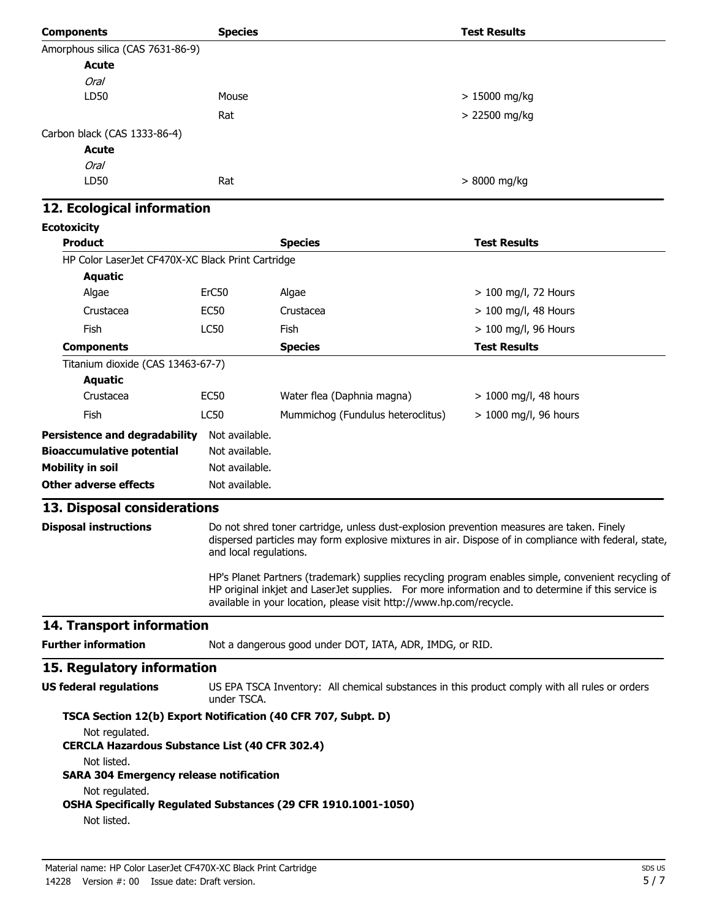| <b>Components</b>                                                       | <b>Species</b>                                                                                                                                                                                                               |                                                                                                | <b>Test Results</b>     |  |
|-------------------------------------------------------------------------|------------------------------------------------------------------------------------------------------------------------------------------------------------------------------------------------------------------------------|------------------------------------------------------------------------------------------------|-------------------------|--|
| Amorphous silica (CAS 7631-86-9)                                        |                                                                                                                                                                                                                              |                                                                                                |                         |  |
| <b>Acute</b>                                                            |                                                                                                                                                                                                                              |                                                                                                |                         |  |
| <b>Oral</b>                                                             |                                                                                                                                                                                                                              |                                                                                                |                         |  |
| LD50                                                                    | Mouse                                                                                                                                                                                                                        |                                                                                                | $>15000$ mg/kg          |  |
|                                                                         | Rat                                                                                                                                                                                                                          |                                                                                                | > 22500 mg/kg           |  |
| Carbon black (CAS 1333-86-4)                                            |                                                                                                                                                                                                                              |                                                                                                |                         |  |
| <b>Acute</b>                                                            |                                                                                                                                                                                                                              |                                                                                                |                         |  |
| <b>Oral</b>                                                             |                                                                                                                                                                                                                              |                                                                                                |                         |  |
| LD50                                                                    | Rat                                                                                                                                                                                                                          |                                                                                                | > 8000 mg/kg            |  |
| 12. Ecological information                                              |                                                                                                                                                                                                                              |                                                                                                |                         |  |
| <b>Ecotoxicity</b>                                                      |                                                                                                                                                                                                                              |                                                                                                |                         |  |
| <b>Product</b>                                                          |                                                                                                                                                                                                                              | <b>Species</b>                                                                                 | <b>Test Results</b>     |  |
| HP Color LaserJet CF470X-XC Black Print Cartridge                       |                                                                                                                                                                                                                              |                                                                                                |                         |  |
| <b>Aquatic</b>                                                          |                                                                                                                                                                                                                              |                                                                                                |                         |  |
| Algae                                                                   | ErC50                                                                                                                                                                                                                        | Algae                                                                                          | $> 100$ mg/l, 72 Hours  |  |
| Crustacea                                                               | EC <sub>50</sub>                                                                                                                                                                                                             | Crustacea                                                                                      | $> 100$ mg/l, 48 Hours  |  |
| <b>Fish</b>                                                             | <b>LC50</b>                                                                                                                                                                                                                  | Fish                                                                                           | > 100 mg/l, 96 Hours    |  |
| <b>Components</b>                                                       |                                                                                                                                                                                                                              | <b>Species</b>                                                                                 | <b>Test Results</b>     |  |
| Titanium dioxide (CAS 13463-67-7)                                       |                                                                                                                                                                                                                              |                                                                                                |                         |  |
| <b>Aquatic</b>                                                          |                                                                                                                                                                                                                              |                                                                                                |                         |  |
| Crustacea                                                               | <b>EC50</b>                                                                                                                                                                                                                  | Water flea (Daphnia magna)                                                                     | > 1000 mg/l, 48 hours   |  |
| <b>Fish</b>                                                             | LC50                                                                                                                                                                                                                         | Mummichog (Fundulus heteroclitus)                                                              | $> 1000$ mg/l, 96 hours |  |
|                                                                         |                                                                                                                                                                                                                              |                                                                                                |                         |  |
| <b>Persistence and degradability</b>                                    | Not available.                                                                                                                                                                                                               |                                                                                                |                         |  |
| <b>Bioaccumulative potential</b>                                        | Not available.<br>Not available.                                                                                                                                                                                             |                                                                                                |                         |  |
| <b>Mobility in soil</b><br><b>Other adverse effects</b>                 | Not available.                                                                                                                                                                                                               |                                                                                                |                         |  |
|                                                                         |                                                                                                                                                                                                                              |                                                                                                |                         |  |
| 13. Disposal considerations                                             |                                                                                                                                                                                                                              |                                                                                                |                         |  |
| <b>Disposal instructions</b>                                            | Do not shred toner cartridge, unless dust-explosion prevention measures are taken. Finely<br>dispersed particles may form explosive mixtures in air. Dispose of in compliance with federal, state,<br>and local regulations. |                                                                                                |                         |  |
|                                                                         |                                                                                                                                                                                                                              |                                                                                                |                         |  |
|                                                                         | HP's Planet Partners (trademark) supplies recycling program enables simple, convenient recycling of<br>HP original inkjet and LaserJet supplies. For more information and to determine if this service is                    |                                                                                                |                         |  |
|                                                                         |                                                                                                                                                                                                                              | available in your location, please visit http://www.hp.com/recycle.                            |                         |  |
| 14. Transport information                                               |                                                                                                                                                                                                                              |                                                                                                |                         |  |
| <b>Further information</b>                                              |                                                                                                                                                                                                                              | Not a dangerous good under DOT, IATA, ADR, IMDG, or RID.                                       |                         |  |
| 15. Regulatory information                                              |                                                                                                                                                                                                                              |                                                                                                |                         |  |
| <b>US federal regulations</b>                                           | under TSCA.                                                                                                                                                                                                                  | US EPA TSCA Inventory: All chemical substances in this product comply with all rules or orders |                         |  |
| TSCA Section 12(b) Export Notification (40 CFR 707, Subpt. D)           |                                                                                                                                                                                                                              |                                                                                                |                         |  |
| Not regulated.<br><b>CERCLA Hazardous Substance List (40 CFR 302.4)</b> |                                                                                                                                                                                                                              |                                                                                                |                         |  |
| Not listed.<br><b>SARA 304 Emergency release notification</b>           |                                                                                                                                                                                                                              |                                                                                                |                         |  |
| Not regulated.                                                          |                                                                                                                                                                                                                              |                                                                                                |                         |  |
| Not listed.                                                             |                                                                                                                                                                                                                              | OSHA Specifically Regulated Substances (29 CFR 1910.1001-1050)                                 |                         |  |
|                                                                         |                                                                                                                                                                                                                              |                                                                                                |                         |  |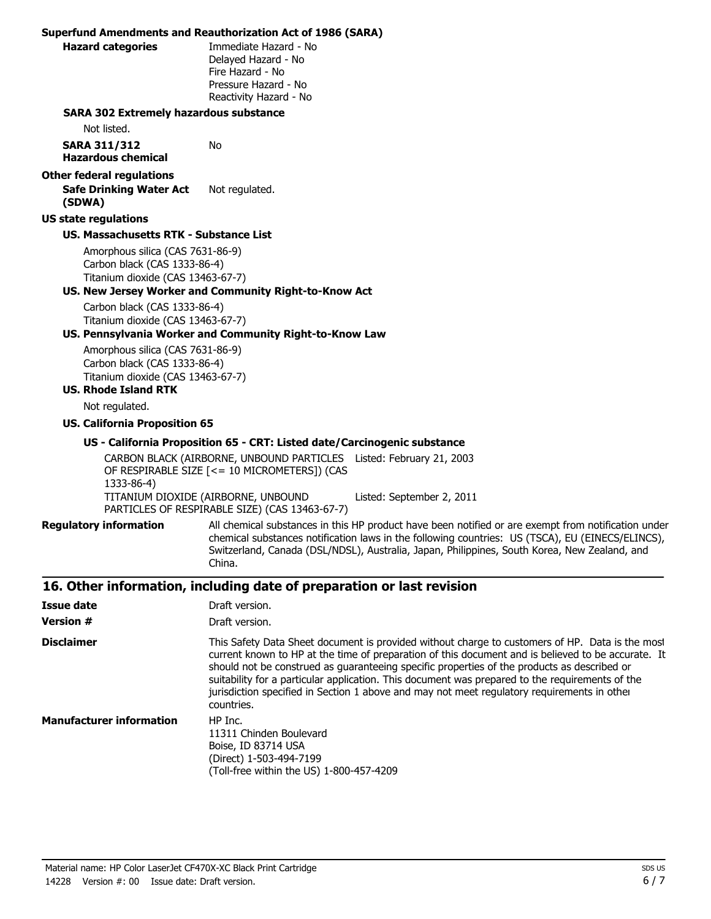|                                                  | <b>Superfund Amendments and Reauthorization Act of 1986 (SARA)</b>                                                                                                                                                                                                                                                                                                                                                                                                                                                   |  |  |
|--------------------------------------------------|----------------------------------------------------------------------------------------------------------------------------------------------------------------------------------------------------------------------------------------------------------------------------------------------------------------------------------------------------------------------------------------------------------------------------------------------------------------------------------------------------------------------|--|--|
| <b>Hazard categories</b>                         | Immediate Hazard - No                                                                                                                                                                                                                                                                                                                                                                                                                                                                                                |  |  |
|                                                  | Delayed Hazard - No                                                                                                                                                                                                                                                                                                                                                                                                                                                                                                  |  |  |
|                                                  | Fire Hazard - No                                                                                                                                                                                                                                                                                                                                                                                                                                                                                                     |  |  |
|                                                  | Pressure Hazard - No                                                                                                                                                                                                                                                                                                                                                                                                                                                                                                 |  |  |
|                                                  | Reactivity Hazard - No                                                                                                                                                                                                                                                                                                                                                                                                                                                                                               |  |  |
| <b>SARA 302 Extremely hazardous substance</b>    |                                                                                                                                                                                                                                                                                                                                                                                                                                                                                                                      |  |  |
| Not listed.                                      |                                                                                                                                                                                                                                                                                                                                                                                                                                                                                                                      |  |  |
| <b>SARA 311/312</b><br><b>Hazardous chemical</b> | No                                                                                                                                                                                                                                                                                                                                                                                                                                                                                                                   |  |  |
| <b>Other federal regulations</b>                 |                                                                                                                                                                                                                                                                                                                                                                                                                                                                                                                      |  |  |
| <b>Safe Drinking Water Act</b><br>(SDWA)         | Not regulated.                                                                                                                                                                                                                                                                                                                                                                                                                                                                                                       |  |  |
| <b>US state regulations</b>                      |                                                                                                                                                                                                                                                                                                                                                                                                                                                                                                                      |  |  |
| <b>US. Massachusetts RTK - Substance List</b>    |                                                                                                                                                                                                                                                                                                                                                                                                                                                                                                                      |  |  |
| Amorphous silica (CAS 7631-86-9)                 |                                                                                                                                                                                                                                                                                                                                                                                                                                                                                                                      |  |  |
| Carbon black (CAS 1333-86-4)                     |                                                                                                                                                                                                                                                                                                                                                                                                                                                                                                                      |  |  |
| Titanium dioxide (CAS 13463-67-7)                |                                                                                                                                                                                                                                                                                                                                                                                                                                                                                                                      |  |  |
|                                                  | US. New Jersey Worker and Community Right-to-Know Act                                                                                                                                                                                                                                                                                                                                                                                                                                                                |  |  |
| Carbon black (CAS 1333-86-4)                     |                                                                                                                                                                                                                                                                                                                                                                                                                                                                                                                      |  |  |
| Titanium dioxide (CAS 13463-67-7)                | US. Pennsylvania Worker and Community Right-to-Know Law                                                                                                                                                                                                                                                                                                                                                                                                                                                              |  |  |
| Amorphous silica (CAS 7631-86-9)                 |                                                                                                                                                                                                                                                                                                                                                                                                                                                                                                                      |  |  |
| Carbon black (CAS 1333-86-4)                     |                                                                                                                                                                                                                                                                                                                                                                                                                                                                                                                      |  |  |
| Titanium dioxide (CAS 13463-67-7)                |                                                                                                                                                                                                                                                                                                                                                                                                                                                                                                                      |  |  |
| <b>US. Rhode Island RTK</b>                      |                                                                                                                                                                                                                                                                                                                                                                                                                                                                                                                      |  |  |
| Not regulated.                                   |                                                                                                                                                                                                                                                                                                                                                                                                                                                                                                                      |  |  |
| <b>US. California Proposition 65</b>             |                                                                                                                                                                                                                                                                                                                                                                                                                                                                                                                      |  |  |
|                                                  | US - California Proposition 65 - CRT: Listed date/Carcinogenic substance                                                                                                                                                                                                                                                                                                                                                                                                                                             |  |  |
|                                                  | CARBON BLACK (AIRBORNE, UNBOUND PARTICLES Listed: February 21, 2003                                                                                                                                                                                                                                                                                                                                                                                                                                                  |  |  |
|                                                  | OF RESPIRABLE SIZE [<= 10 MICROMETERS]) (CAS                                                                                                                                                                                                                                                                                                                                                                                                                                                                         |  |  |
| 1333-86-4)                                       |                                                                                                                                                                                                                                                                                                                                                                                                                                                                                                                      |  |  |
|                                                  | TITANIUM DIOXIDE (AIRBORNE, UNBOUND<br>Listed: September 2, 2011<br>PARTICLES OF RESPIRABLE SIZE) (CAS 13463-67-7)                                                                                                                                                                                                                                                                                                                                                                                                   |  |  |
|                                                  | All chemical substances in this HP product have been notified or are exempt from notification under                                                                                                                                                                                                                                                                                                                                                                                                                  |  |  |
| <b>Regulatory information</b>                    | chemical substances notification laws in the following countries: US (TSCA), EU (EINECS/ELINCS),<br>Switzerland, Canada (DSL/NDSL), Australia, Japan, Philippines, South Korea, New Zealand, and<br>China.                                                                                                                                                                                                                                                                                                           |  |  |
|                                                  | 16. Other information, including date of preparation or last revision                                                                                                                                                                                                                                                                                                                                                                                                                                                |  |  |
| <b>Issue date</b>                                | Draft version.                                                                                                                                                                                                                                                                                                                                                                                                                                                                                                       |  |  |
| <b>Version #</b>                                 | Draft version.                                                                                                                                                                                                                                                                                                                                                                                                                                                                                                       |  |  |
| <b>Disclaimer</b>                                | This Safety Data Sheet document is provided without charge to customers of HP. Data is the most<br>current known to HP at the time of preparation of this document and is believed to be accurate. It<br>should not be construed as guaranteeing specific properties of the products as described or<br>suitability for a particular application. This document was prepared to the requirements of the<br>jurisdiction specified in Section 1 above and may not meet regulatory requirements in other<br>countries. |  |  |
| <b>Manufacturer information</b>                  | HP Inc.<br>11311 Chinden Boulevard<br>Boise, ID 83714 USA                                                                                                                                                                                                                                                                                                                                                                                                                                                            |  |  |

(Direct) 1-503-494-7199

(Toll-free within the US) 1-800-457-4209